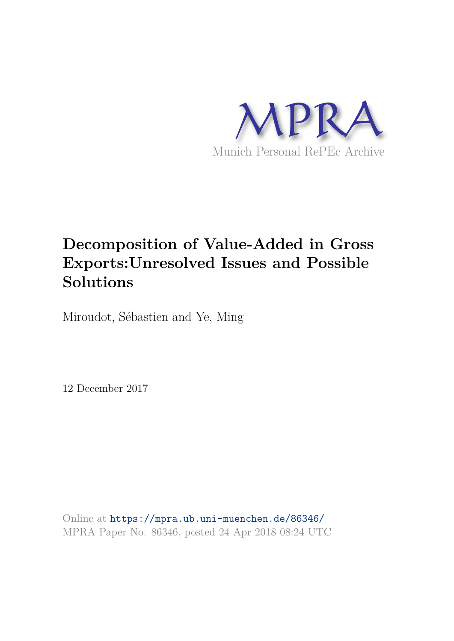

# **Decomposition of Value-Added in Gross Exports:Unresolved Issues and Possible Solutions**

Miroudot, Sébastien and Ye, Ming

12 December 2017

Online at https://mpra.ub.uni-muenchen.de/86346/ MPRA Paper No. 86346, posted 24 Apr 2018 08:24 UTC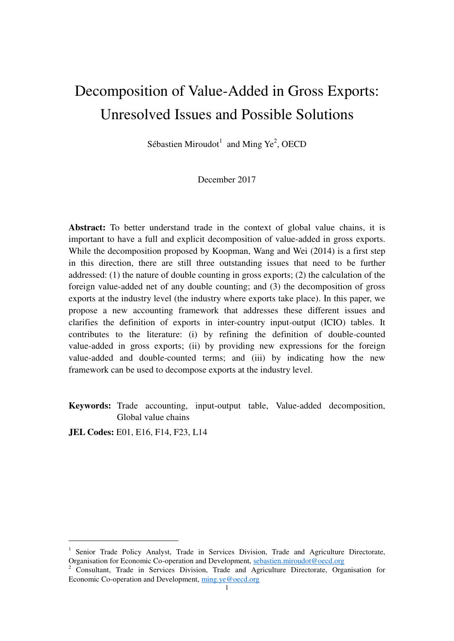# Decomposition of Value-Added in Gross Exports: Unresolved Issues and Possible Solutions

Sébastien Miroudot<sup>1</sup> and Ming Ye<sup>2</sup>, OECD

December 2017

**Abstract:** To better understand trade in the context of global value chains, it is important to have a full and explicit decomposition of value-added in gross exports. While the decomposition proposed by Koopman, Wang and Wei (2014) is a first step in this direction, there are still three outstanding issues that need to be further addressed: (1) the nature of double counting in gross exports; (2) the calculation of the foreign value-added net of any double counting; and (3) the decomposition of gross exports at the industry level (the industry where exports take place). In this paper, we propose a new accounting framework that addresses these different issues and clarifies the definition of exports in inter-country input-output (ICIO) tables. It contributes to the literature: (i) by refining the definition of double-counted value-added in gross exports; (ii) by providing new expressions for the foreign value-added and double-counted terms; and (iii) by indicating how the new framework can be used to decompose exports at the industry level.

**Keywords:** Trade accounting, input-output table, Value-added decomposition, Global value chains

**JEL Codes: E01, E16, F14, F23, L14** 

<sup>&</sup>lt;sup>1</sup> Senior Trade Policy Analyst, Trade in Services Division, Trade and Agriculture Directorate, Organisation for Economic Co-operation and Development, [sebastien.miroudot@oecd.org](mailto:sebastien.miroudot@oecd.org)

<sup>&</sup>lt;sup>2</sup> Consultant, Trade in Services Division, Trade and Agriculture Directorate, Organisation for Economic Co-operation and Development, [ming.ye@oecd.org](mailto:ming.ye@oecd.org)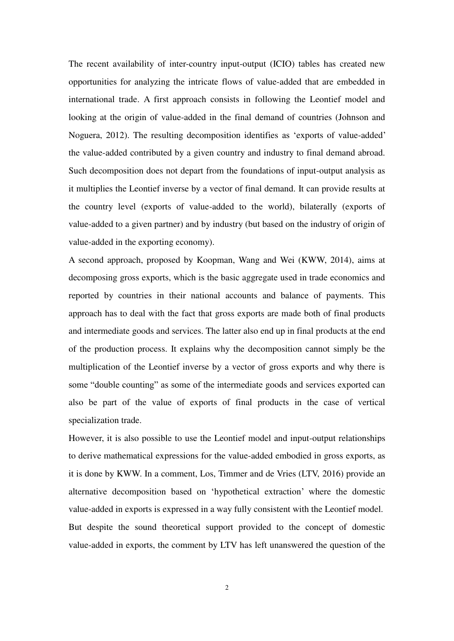The recent availability of inter-country input-output (ICIO) tables has created new opportunities for analyzing the intricate flows of value-added that are embedded in international trade. A first approach consists in following the Leontief model and looking at the origin of value-added in the final demand of countries (Johnson and Noguera, 2012). The resulting decomposition identifies as 'exports of value-added' the value-added contributed by a given country and industry to final demand abroad. Such decomposition does not depart from the foundations of input-output analysis as it multiplies the Leontief inverse by a vector of final demand. It can provide results at the country level (exports of value-added to the world), bilaterally (exports of value-added to a given partner) and by industry (but based on the industry of origin of value-added in the exporting economy).

A second approach, proposed by Koopman, Wang and Wei (KWW, 2014), aims at decomposing gross exports, which is the basic aggregate used in trade economics and reported by countries in their national accounts and balance of payments. This approach has to deal with the fact that gross exports are made both of final products and intermediate goods and services. The latter also end up in final products at the end of the production process. It explains why the decomposition cannot simply be the multiplication of the Leontief inverse by a vector of gross exports and why there is some "double counting" as some of the intermediate goods and services exported can also be part of the value of exports of final products in the case of vertical specialization trade.

However, it is also possible to use the Leontief model and input-output relationships to derive mathematical expressions for the value-added embodied in gross exports, as it is done by KWW. In a comment, Los, Timmer and de Vries (LTV, 2016) provide an alternative decomposition based on 'hypothetical extraction' where the domestic value-added in exports is expressed in a way fully consistent with the Leontief model. But despite the sound theoretical support provided to the concept of domestic value-added in exports, the comment by LTV has left unanswered the question of the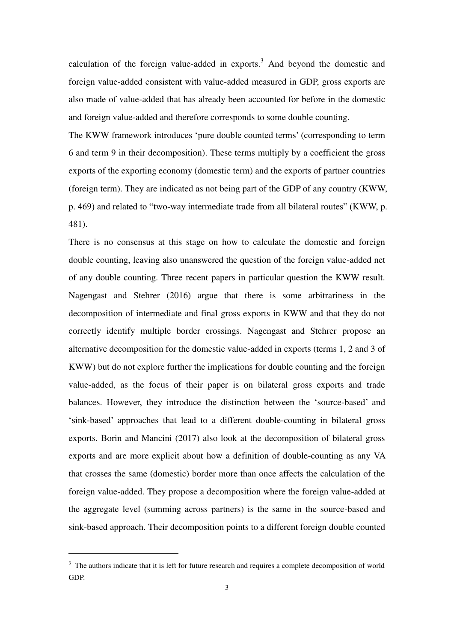calculation of the foreign value-added in exports. $3$  And beyond the domestic and foreign value-added consistent with value-added measured in GDP, gross exports are also made of value-added that has already been accounted for before in the domestic and foreign value-added and therefore corresponds to some double counting.

The KWW framework introduces 'pure double counted terms' (corresponding to term 6 and term 9 in their decomposition). These terms multiply by a coefficient the gross exports of the exporting economy (domestic term) and the exports of partner countries (foreign term). They are indicated as not being part of the GDP of any country (KWW, p. 469) and related to "two-way intermediate trade from all bilateral routes" (KWW, p. 481).

There is no consensus at this stage on how to calculate the domestic and foreign double counting, leaving also unanswered the question of the foreign value-added net of any double counting. Three recent papers in particular question the KWW result. Nagengast and Stehrer (2016) argue that there is some arbitrariness in the decomposition of intermediate and final gross exports in KWW and that they do not correctly identify multiple border crossings. Nagengast and Stehrer propose an alternative decomposition for the domestic value-added in exports (terms 1, 2 and 3 of KWW) but do not explore further the implications for double counting and the foreign value-added, as the focus of their paper is on bilateral gross exports and trade balances. However, they introduce the distinction between the 'source-based' and 'sink-based' approaches that lead to a different double-counting in bilateral gross exports. Borin and Mancini (2017) also look at the decomposition of bilateral gross exports and are more explicit about how a definition of double-counting as any VA that crosses the same (domestic) border more than once affects the calculation of the foreign value-added. They propose a decomposition where the foreign value-added at the aggregate level (summing across partners) is the same in the source-based and sink-based approach. Their decomposition points to a different foreign double counted

<sup>&</sup>lt;sup>3</sup> The authors indicate that it is left for future research and requires a complete decomposition of world GDP.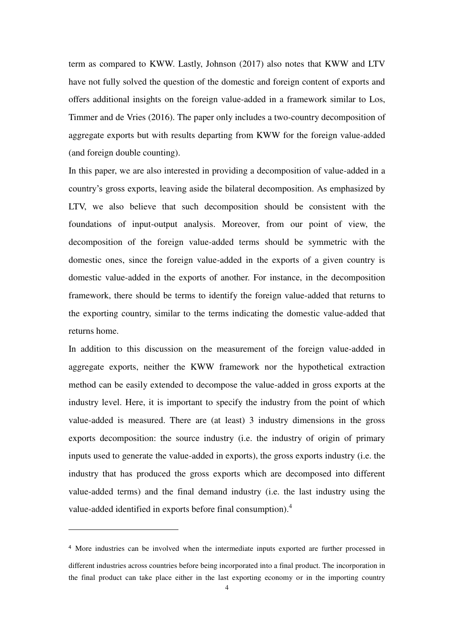term as compared to KWW. Lastly, Johnson (2017) also notes that KWW and LTV have not fully solved the question of the domestic and foreign content of exports and offers additional insights on the foreign value-added in a framework similar to Los, Timmer and de Vries (2016). The paper only includes a two-country decomposition of aggregate exports but with results departing from KWW for the foreign value-added (and foreign double counting).

In this paper, we are also interested in providing a decomposition of value-added in a country's gross exports, leaving aside the bilateral decomposition. As emphasized by LTV, we also believe that such decomposition should be consistent with the foundations of input-output analysis. Moreover, from our point of view, the decomposition of the foreign value-added terms should be symmetric with the domestic ones, since the foreign value-added in the exports of a given country is domestic value-added in the exports of another. For instance, in the decomposition framework, there should be terms to identify the foreign value-added that returns to the exporting country, similar to the terms indicating the domestic value-added that returns home.

In addition to this discussion on the measurement of the foreign value-added in aggregate exports, neither the KWW framework nor the hypothetical extraction method can be easily extended to decompose the value-added in gross exports at the industry level. Here, it is important to specify the industry from the point of which value-added is measured. There are (at least) 3 industry dimensions in the gross exports decomposition: the source industry (i.e. the industry of origin of primary inputs used to generate the value-added in exports), the gross exports industry (i.e. the industry that has produced the gross exports which are decomposed into different value-added terms) and the final demand industry (i.e. the last industry using the value-added identified in exports before final consumption).<sup>4</sup>

<sup>4</sup> More industries can be involved when the intermediate inputs exported are further processed in different industries across countries before being incorporated into a final product. The incorporation in the final product can take place either in the last exporting economy or in the importing country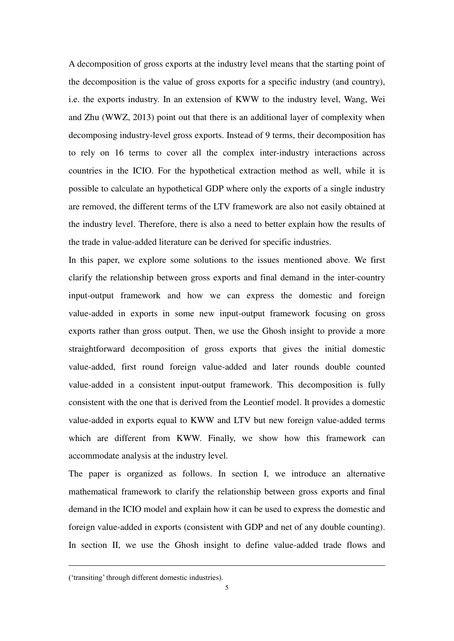A decomposition of gross exports at the industry level means that the starting point of the decomposition is the value of gross exports for a specific industry (and country), i.e. the exports industry. In an extension of KWW to the industry level, Wang, Wei and Zhu (WWZ, 2013) point out that there is an additional layer of complexity when decomposing industry-level gross exports. Instead of 9 terms, their decomposition has to rely on 16 terms to cover all the complex inter-industry interactions across countries in the ICIO. For the hypothetical extraction method as well, while it is possible to calculate an hypothetical GDP where only the exports of a single industry are removed, the different terms of the LTV framework are also not easily obtained at the industry level. Therefore, there is also a need to better explain how the results of the trade in value-added literature can be derived for specific industries.

In this paper, we explore some solutions to the issues mentioned above. We first clarify the relationship between gross exports and final demand in the inter-country input-output framework and how we can express the domestic and foreign value-added in exports in some new input-output framework focusing on gross exports rather than gross output. Then, we use the Ghosh insight to provide a more straightforward decomposition of gross exports that gives the initial domestic value-added, first round foreign value-added and later rounds double counted value-added in a consistent input-output framework. This decomposition is fully consistent with the one that is derived from the Leontief model. It provides a domestic value-added in exports equal to KWW and LTV but new foreign value-added terms which are different from KWW. Finally, we show how this framework can accommodate analysis at the industry level.

The paper is organized as follows. In section I, we introduce an alternative mathematical framework to clarify the relationship between gross exports and final demand in the ICIO model and explain how it can be used to express the domestic and foreign value-added in exports (consistent with GDP and net of any double counting). In section II, we use the Ghosh insight to define value-added trade flows and

<sup>(&#</sup>x27;transiting' through different domestic industries).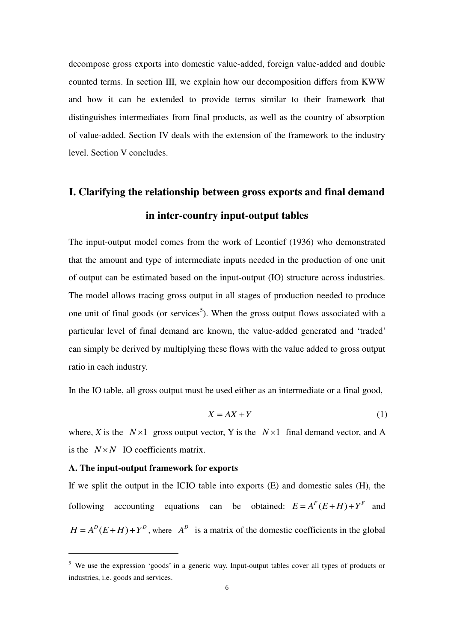decompose gross exports into domestic value-added, foreign value-added and double counted terms. In section III, we explain how our decomposition differs from KWW and how it can be extended to provide terms similar to their framework that distinguishes intermediates from final products, as well as the country of absorption of value-added. Section IV deals with the extension of the framework to the industry level. Section V concludes.

# **I. Clarifying the relationship between gross exports and final demand in inter-country input-output tables**

The input-output model comes from the work of Leontief (1936) who demonstrated that the amount and type of intermediate inputs needed in the production of one unit of output can be estimated based on the input-output (IO) structure across industries. The model allows tracing gross output in all stages of production needed to produce one unit of final goods (or services<sup>5</sup>). When the gross output flows associated with a particular level of final demand are known, the value-added generated and 'traded' can simply be derived by multiplying these flows with the value added to gross output ratio in each industry.

In the IO table, all gross output must be used either as an intermediate or a final good,

$$
X = AX + Y \tag{1}
$$

where, *X* is the  $N \times 1$  gross output vector, *Y* is the  $N \times 1$  final demand vector, and A is the  $N \times N$  IO coefficients matrix.

#### **A. The input-output framework for exports**

-

If we split the output in the ICIO table into exports (E) and domestic sales (H), the following accounting equations can be obtained:  $E = A^F (E + H) + Y^F$  and  $H = A^{D}(E+H) + Y^{D}$ , where  $A^{D}$  is a matrix of the domestic coefficients in the global

<sup>&</sup>lt;sup>5</sup> We use the expression 'goods' in a generic way. Input-output tables cover all types of products or industries, i.e. goods and services.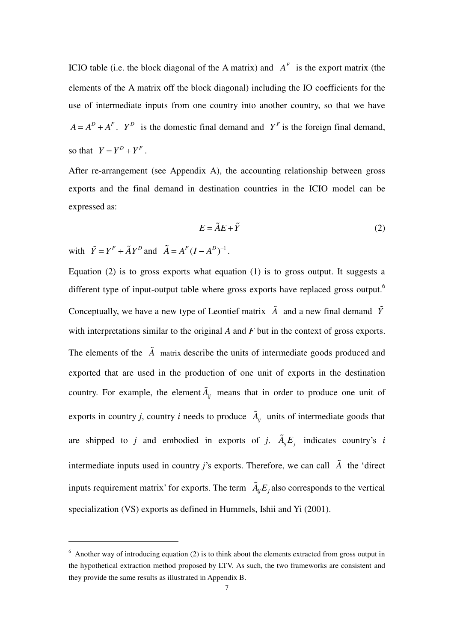ICIO table (i.e. the block diagonal of the A matrix) and  $A<sup>F</sup>$  is the export matrix (the elements of the A matrix off the block diagonal) including the IO coefficients for the use of intermediate inputs from one country into another country, so that we have  $A = A^D + A^F$ .  $Y^D$  is the domestic final demand and  $Y^F$  is the foreign final demand, so that  $Y = Y^D + Y^F$ .

After re-arrangement (see Appendix A), the accounting relationship between gross exports and the final demand in destination countries in the ICIO model can be expressed as:

$$
E = \tilde{A}E + \tilde{Y} \tag{2}
$$

with  $\tilde{Y} = Y^F + \tilde{A}Y^D$  and  $\tilde{A} = A^F (I - A^D)^{-1}$ .

-

Equation (2) is to gross exports what equation (1) is to gross output. It suggests a different type of input-output table where gross exports have replaced gross output.<sup>6</sup> Conceptually, we have a new type of Leontief matrix  $\tilde{A}$  and a new final demand  $\tilde{Y}$ with interpretations similar to the original *A* and *F* but in the context of gross exports. The elements of the *A* matrix describe the units of intermediate goods produced and exported that are used in the production of one unit of exports in the destination country. For example, the element  $\tilde{A}_{ij}$  means that in order to produce one unit of exports in country *j*, country *i* needs to produce  $\tilde{A}_{ij}$  units of intermediate goods that are shipped to *j* and embodied in exports of *j*.  $\tilde{A}_i E_i$  indicates country's *i* intermediate inputs used in country *j*'s exports. Therefore, we can call *A* the 'direct inputs requirement matrix' for exports. The term  $\tilde{A}_{ii}E_i$  also corresponds to the vertical specialization (VS) exports as defined in Hummels, Ishii and Yi (2001).

<sup>&</sup>lt;sup>6</sup> Another way of introducing equation (2) is to think about the elements extracted from gross output in the hypothetical extraction method proposed by LTV. As such, the two frameworks are consistent and they provide the same results as illustrated in Appendix B.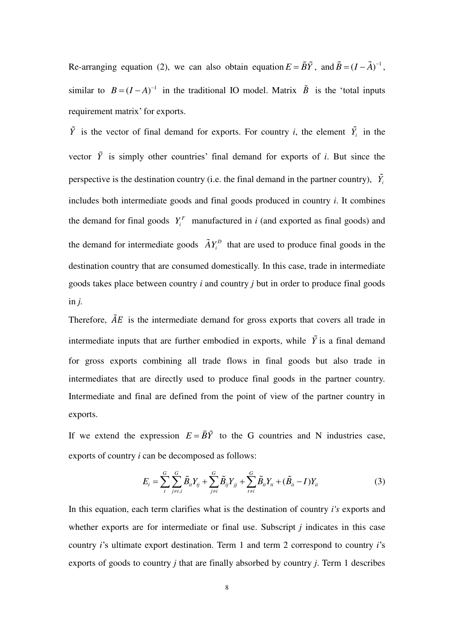Re-arranging equation (2), we can also obtain equation  $E = \tilde{B}\tilde{Y}$ , and  $\tilde{B} = (I - \tilde{A})^{-1}$ , similar to  $B = (I - A)^{-1}$  in the traditional IO model. Matrix  $\tilde{B}$  is the 'total inputs requirement matrix' for exports.

*Y* is the vector of final demand for exports. For country *i*, the element  $Y_i$  in the vector  $\tilde{Y}$  is simply other countries' final demand for exports of *i*. But since the perspective is the destination country (i.e. the final demand in the partner country),  $\tilde{Y}_i$ includes both intermediate goods and final goods produced in country *i*. It combines the demand for final goods  $Y_i^F$  manufactured in *i* (and exported as final goods) and the demand for intermediate goods  $\tilde{A}Y_i^D$  that are used to produce final goods in the destination country that are consumed domestically. In this case, trade in intermediate goods takes place between country *i* and country *j* but in order to produce final goods in *j.*

Therefore,  $\tilde{A}E$  is the intermediate demand for gross exports that covers all trade in intermediate inputs that are further embodied in exports, while  $\tilde{Y}$  is a final demand for gross exports combining all trade flows in final goods but also trade in intermediates that are directly used to produce final goods in the partner country. Intermediate and final are defined from the point of view of the partner country in exports.

If we extend the expression  $E = \tilde{B}\tilde{Y}$  to the G countries and N industries case, exports of country *i* can be decomposed as follows:

$$
E_{i} = \sum_{t}^{G} \sum_{j \neq i, i}^{G} \tilde{B}_{it} Y_{tj} + \sum_{j \neq i}^{G} \tilde{B}_{ij} Y_{jj} + \sum_{t \neq i}^{G} \tilde{B}_{it} Y_{ti} + (\tilde{B}_{it} - I) Y_{ti}
$$
(3)

In this equation, each term clarifies what is the destination of country *i's* exports and whether exports are for intermediate or final use. Subscript *j* indicates in this case country *i*'s ultimate export destination. Term 1 and term 2 correspond to country *i*'s exports of goods to country *j* that are finally absorbed by country *j*. Term 1 describes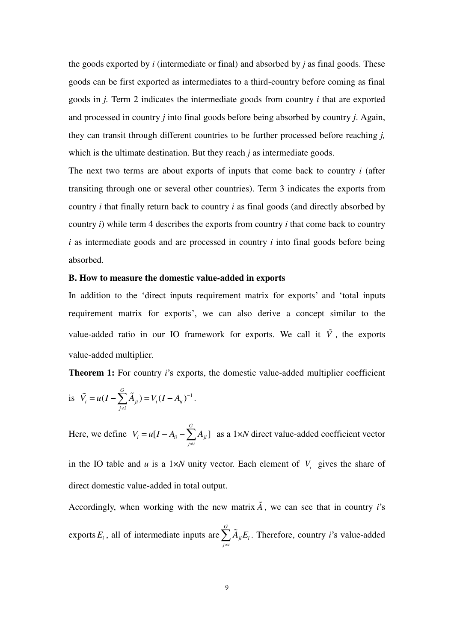the goods exported by *i* (intermediate or final) and absorbed by *j* as final goods. These goods can be first exported as intermediates to a third-country before coming as final goods in *j.* Term 2 indicates the intermediate goods from country *i* that are exported and processed in country *j* into final goods before being absorbed by country *j*. Again, they can transit through different countries to be further processed before reaching *j,*  which is the ultimate destination. But they reach *j* as intermediate goods.

The next two terms are about exports of inputs that come back to country *i* (after transiting through one or several other countries). Term 3 indicates the exports from country *i* that finally return back to country *i* as final goods (and directly absorbed by country *i*) while term 4 describes the exports from country *i* that come back to country *i* as intermediate goods and are processed in country *i* into final goods before being absorbed.

#### **B. How to measure the domestic value-added in exports**

In addition to the 'direct inputs requirement matrix for exports' and 'total inputs requirement matrix for exports', we can also derive a concept similar to the value-added ratio in our IO framework for exports. We call it  $\tilde{V}$ , the exports value-added multiplier.

**Theorem 1:** For country *i*'s exports, the domestic value-added multiplier coefficient

is 
$$
\tilde{V}_i = u(I - \sum_{j \neq i}^{G} \tilde{A}_{ji}) = V_i(I - A_{ii})^{-1}
$$
.

Here, we define  $V_i = u[I - A_{ii} - \sum_i A_{ii}]$ *G*  $i = u_1$   $\cdots$   $i_i$   $\sum_i \mathbf{I}_{ji}$ *j i*  $V_i = u[I - A_{ii} - \sum A_i]$  $= u[I - A_{ii} - \sum_{j \neq i} A_{ji}]$  as a 1×*N* direct value-added coefficient vector

in the IO table and *u* is a 1×*N* unity vector. Each element of  $V_i$  gives the share of direct domestic value-added in total output.

Accordingly, when working with the new matrix  $\tilde{A}$ , we can see that in country *i*'s exports  $E_i$ , all of intermediate inputs are *G ji i j i*  $A_{ii}E$  $\sum_{j \neq i} \tilde{A}_{ji} E_i$ . Therefore, country *i*'s value-added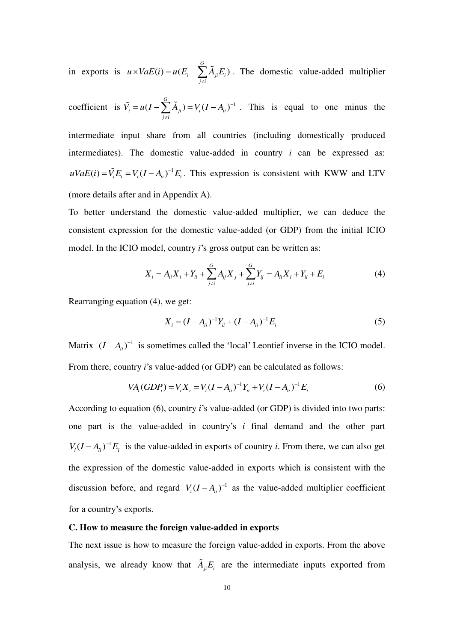in exports is  $u \times VaE(i) = u(E_i - \sum A_{ii} E_i)$ *G*  $i \quad \angle I^{\mathbf{1}}$ ji  $\mathbf{v}_i$ *j i*  $u \times VaE(i) = u(E_i - \sum A_{ii}E)$  $\times VaE(i) = u(E_i - \sum_{j \neq i} \tilde{A}_{ji}E_i)$ . The domestic value-added multiplier

coefficient is  $\tilde{V}_i = u(I - \sum \tilde{A}_{ii}) = V_i(I - A_{ii})^{-1}$ *G*  $i = u \left(1 - \sum_i \mathbf{1}_{ji}^i\right) = v_i \left(1 - \mathbf{1}_{ii}^i\right)$ *j i*  $\tilde{V}_i = u(I - \sum \tilde{A}_{ii}) = V_i(I - A_{ii})^{-1}$  $= u(I - \sum_{j \neq i} A_{ji}) = V_i (I - A_{ii})^{-1}$ . This is equal to one minus the

intermediate input share from all countries (including domestically produced intermediates). The domestic value-added in country  $i$  can be expressed as:  $uVaE(i) = \tilde{V}_iE_i = V_i(I - A_{ii})^{-1}E_i$ . This expression is consistent with KWW and LTV (more details after and in Appendix A).

To better understand the domestic value-added multiplier, we can deduce the consistent expression for the domestic value-added (or GDP) from the initial ICIO model. In the ICIO model, country *i*'s gross output can be written as:

$$
X_i = A_{ii} X_i + Y_{ii} + \sum_{j \neq i}^{G} A_{ij} X_j + \sum_{j \neq i}^{G} Y_{ij} = A_{ii} X_i + Y_{ii} + E_i
$$
 (4)

Rearranging equation (4), we get:

$$
X_i = (I - A_{ii})^{-1} Y_{ii} + (I - A_{ii})^{-1} E_i
$$
\n(5)

Matrix  $(I - A_{ii})^{-1}$  is sometimes called the 'local' Leontief inverse in the ICIO model. From there, country *i*'s value-added (or GDP) can be calculated as follows:

$$
VA_i(GDP_i) = V_i X_i = V_i (I - A_{ii})^{-1} Y_{ii} + V_i (I - A_{ii})^{-1} E_i
$$
 (6)

According to equation (6), country *i*'s value-added (or GDP) is divided into two parts: one part is the value-added in country's *i* final demand and the other part  $V_i (I - A_{ii})^{-1} E_i$  is the value-added in exports of country *i*. From there, we can also get the expression of the domestic value-added in exports which is consistent with the discussion before, and regard  $V_i (I - A_{ii})^{-1}$  as the value-added multiplier coefficient for a country's exports.

#### **C. How to measure the foreign value-added in exports**

The next issue is how to measure the foreign value-added in exports. From the above analysis, we already know that  $\tilde{A}_{ii}E_i$  are the intermediate inputs exported from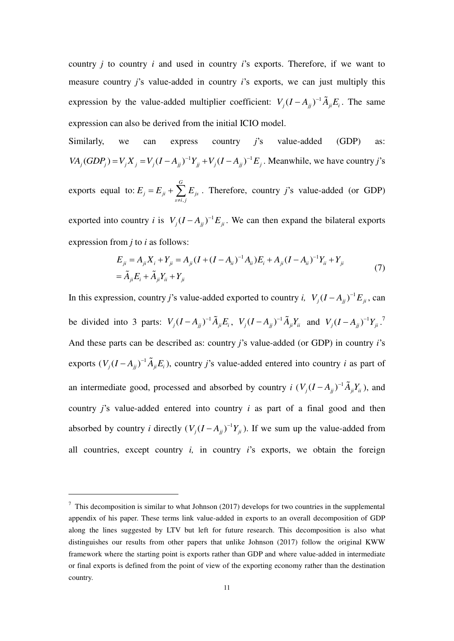country *j* to country *i* and used in country *i*'s exports. Therefore, if we want to measure country *j*'s value-added in country *i*'s exports, we can just multiply this expression by the value-added multiplier coefficient:  $V_j (I - A_{jj})^{-1} \tilde{A}_{ji} E_i$ . The same expression can also be derived from the initial ICIO model.

Similarly, we can express country *j*'s value-added (GDP) as:  $VA_j(GDP_j) = V_j X_j = V_j (I - A_{jj})^{-1} Y_{jj} + V_j (I - A_{jj})^{-1} E_j$ . Meanwhile, we have country *j*'s

exports equal to: , *G*  $j = \frac{L}{ji} + \sum_i L_{js}$  $s \neq i, j$  $E_{i} = E_{ii} + \sum E_{ii}$  $E_{ji} + \sum_{s \neq i,j} E_{js}$ . Therefore, country *j*'s value-added (or GDP)

exported into country *i* is  $V_j (I - A_{jj})^{-1} E_{ji}$ . We can then expand the bilateral exports expression from *j* to *i* as follows:

$$
E_{ji} = A_{ji} X_i + Y_{ji} = A_{ji} (I + (I - A_{ii})^{-1} A_{ii}) E_i + A_{ji} (I - A_{ii})^{-1} Y_{ii} + Y_{ji}
$$
  
=  $\tilde{A}_{ji} E_i + \tilde{A}_{ji} Y_{ii} + Y_{ji}$  (7)

In this expression, country *j*'s value-added exported to country *i*,  $V_j (I - A_{jj})^{-1} E_{ji}$ , can be divided into 3 parts:  $V_j (I - A_{jj})^{-1} \tilde{A}_{ji} E_i$ ,  $V_j (I - A_{jj})^{-1} \tilde{A}_{ji} Y_i$  and  $V_j (I - A_{jj})^{-1} Y_{ji}$ . And these parts can be described as: country *j*'s value-added (or GDP) in country *i*'s exports  $(V_j(I - A_{jj})^{-1}\tilde{A}_{ji}E_i)$ , country *j*'s value-added entered into country *i* as part of an intermediate good, processed and absorbed by country *i*  $(V_j(I - A_{jj})^{-1} \tilde{A}_{ji} Y_{ii})$ , and country *j*'s value-added entered into country *i* as part of a final good and then absorbed by country *i* directly  $(V_j (I - A_{jj})^{-1} Y_{ji})$ . If we sum up the value-added from all countries, except country *i,* in country *i*'s exports, we obtain the foreign

 $\frac{7}{1}$  This decomposition is similar to what Johnson (2017) develops for two countries in the supplemental appendix of his paper. These terms link value-added in exports to an overall decomposition of GDP along the lines suggested by LTV but left for future research. This decomposition is also what distinguishes our results from other papers that unlike Johnson (2017) follow the original KWW framework where the starting point is exports rather than GDP and where value-added in intermediate or final exports is defined from the point of view of the exporting economy rather than the destination country.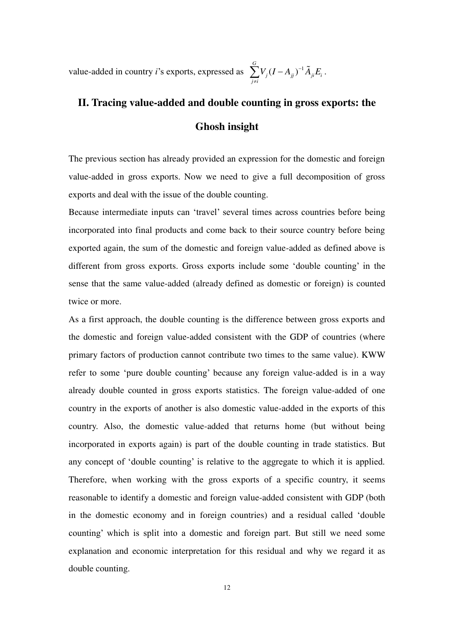value-added in country *i*'s exports, expressed as  $\sum_i V_i (I - A_{ii})^{-1}$ *G*  $j^{(1)}$  *i*  $j^{(j)}$  *i*  $i^{(l)}$ *j i*  $V_{i} (I - A_{ii})^{-1} \tilde{A}_{ii} E_{ii}$  $\sum_{j\neq i}^{\infty} V_j (I-A_{jj} )^{-1} \widetilde A_{ji} E_i \, .$ 

## **II. Tracing value-added and double counting in gross exports: the Ghosh insight**

The previous section has already provided an expression for the domestic and foreign value-added in gross exports. Now we need to give a full decomposition of gross exports and deal with the issue of the double counting.

Because intermediate inputs can 'travel' several times across countries before being incorporated into final products and come back to their source country before being exported again, the sum of the domestic and foreign value-added as defined above is different from gross exports. Gross exports include some 'double counting' in the sense that the same value-added (already defined as domestic or foreign) is counted twice or more.

As a first approach, the double counting is the difference between gross exports and the domestic and foreign value-added consistent with the GDP of countries (where primary factors of production cannot contribute two times to the same value). KWW refer to some 'pure double counting' because any foreign value-added is in a way already double counted in gross exports statistics. The foreign value-added of one country in the exports of another is also domestic value-added in the exports of this country. Also, the domestic value-added that returns home (but without being incorporated in exports again) is part of the double counting in trade statistics. But any concept of 'double counting' is relative to the aggregate to which it is applied. Therefore, when working with the gross exports of a specific country, it seems reasonable to identify a domestic and foreign value-added consistent with GDP (both in the domestic economy and in foreign countries) and a residual called 'double counting' which is split into a domestic and foreign part. But still we need some explanation and economic interpretation for this residual and why we regard it as double counting.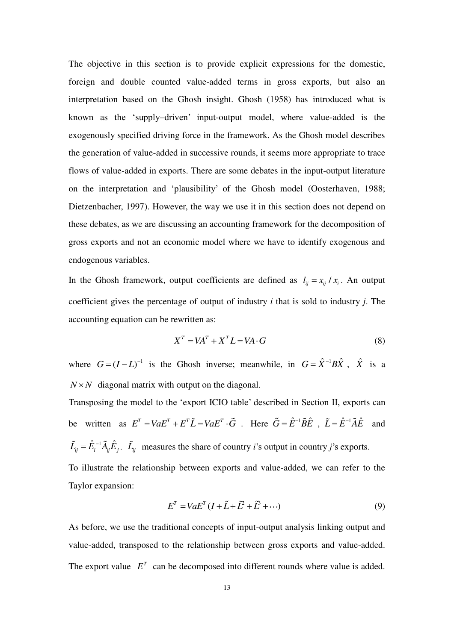The objective in this section is to provide explicit expressions for the domestic, foreign and double counted value-added terms in gross exports, but also an interpretation based on the Ghosh insight. Ghosh (1958) has introduced what is known as the 'supply–driven' input-output model, where value-added is the exogenously specified driving force in the framework. As the Ghosh model describes the generation of value-added in successive rounds, it seems more appropriate to trace flows of value-added in exports. There are some debates in the input-output literature on the interpretation and 'plausibility' of the Ghosh model (Oosterhaven, 1988; Dietzenbacher, 1997). However, the way we use it in this section does not depend on these debates, as we are discussing an accounting framework for the decomposition of gross exports and not an economic model where we have to identify exogenous and endogenous variables.

In the Ghosh framework, output coefficients are defined as  $l_{ij} = x_{ij} / x_i$ . An output coefficient gives the percentage of output of industry *i* that is sold to industry *j*. The accounting equation can be rewritten as:

$$
XT = VAT + XTL = VA \cdot G
$$
 (8)

where  $G = (I - L)^{-1}$  is the Ghosh inverse; meanwhile, in  $G = \hat{X}^{-1}B\hat{X}$ ,  $\hat{X}$  is a  $N \times N$  diagonal matrix with output on the diagonal.

Transposing the model to the 'export ICIO table' described in Section II, exports can be written as  $E^T = V a E^T + E^T \tilde{L} = V a E^T \cdot \tilde{G}$ . Here  $\tilde{G} = \hat{E}^{-1} \tilde{B} \hat{E}$ ,  $\tilde{L} = \hat{E}^{-1} \tilde{A} \hat{E}$  and  $\tilde{L}_{ij} = \hat{E}_{i}^{-1} \tilde{A}_{ij} \hat{E}_{j}$ .  $\tilde{L}_{ij}$  measures the share of country *i*'s output in country *j*'s exports. To illustrate the relationship between exports and value-added, we can refer to the Taylor expansion:

$$
ET = VaET (I + \tilde{L} + \tilde{L}^2 + \tilde{L}^3 + \cdots)
$$
 (9)

As before, we use the traditional concepts of input-output analysis linking output and value-added, transposed to the relationship between gross exports and value-added. The export value  $E^T$  can be decomposed into different rounds where value is added.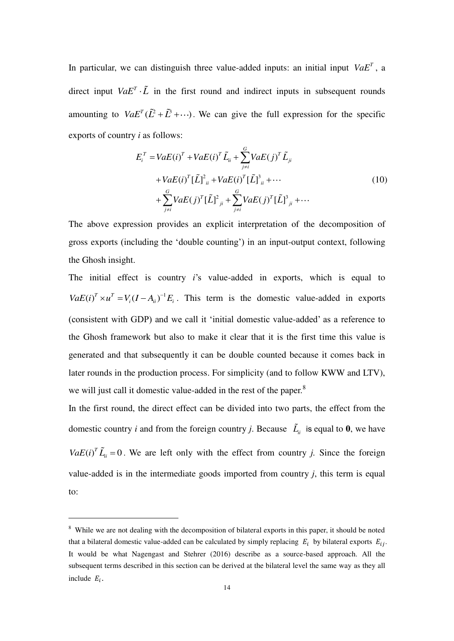In particular, we can distinguish three value-added inputs: an initial input  $VaE^{T}$ , a direct input  $VaE^{T} \cdot \tilde{L}$  in the first round and indirect inputs in subsequent rounds amounting to  $VaE^{T}(\tilde{L}^{2} + \tilde{L}^{3} + \cdots)$ . We can give the full expression for the specific exports of country *i* as follows:

$$
E_{i}^{T} = VaE(i)^{T} + VaE(i)^{T} \tilde{L}_{ii} + \sum_{j \neq i}^{G} VaE(j)^{T} \tilde{L}_{ji}
$$
  
+ VaE(i)<sup>T</sup> [\tilde{L}]^{2}\_{ii} + VaE(i)<sup>T</sup> [\tilde{L}]^{3}\_{ii} + \cdots  
+ 
$$
\sum_{j \neq i}^{G} VaE(j)^{T} [\tilde{L}]^{2}_{ji} + \sum_{j \neq i}^{G} VaE(j)^{T} [\tilde{L}]^{3}_{ji} + \cdots
$$
 (10)

The above expression provides an explicit interpretation of the decomposition of gross exports (including the 'double counting') in an input-output context, following the Ghosh insight.

The initial effect is country *i*'s value-added in exports, which is equal to  $VaE(i)^{T} \times u^{T} = V_{i}(I - A_{ii})^{-1}E_{i}$ . This term is the domestic value-added in exports (consistent with GDP) and we call it 'initial domestic value-added' as a reference to the Ghosh framework but also to make it clear that it is the first time this value is generated and that subsequently it can be double counted because it comes back in later rounds in the production process. For simplicity (and to follow KWW and LTV), we will just call it domestic value-added in the rest of the paper.<sup>8</sup>

In the first round, the direct effect can be divided into two parts, the effect from the domestic country *i* and from the foreign country *j*. Because  $\tilde{L}_i$  is equal to **0**, we have  $VaE(i)^{T} \tilde{L}_{ii} = 0$ . We are left only with the effect from country *j*. Since the foreign value-added is in the intermediate goods imported from country *j*, this term is equal to:

<sup>&</sup>lt;sup>8</sup> While we are not dealing with the decomposition of bilateral exports in this paper, it should be noted that a bilateral domestic value-added can be calculated by simply replacing  $E_i$  by bilateral exports  $E_{ij}$ . It would be what Nagengast and Stehrer (2016) describe as a source-based approach. All the subsequent terms described in this section can be derived at the bilateral level the same way as they all include  $E_i$ .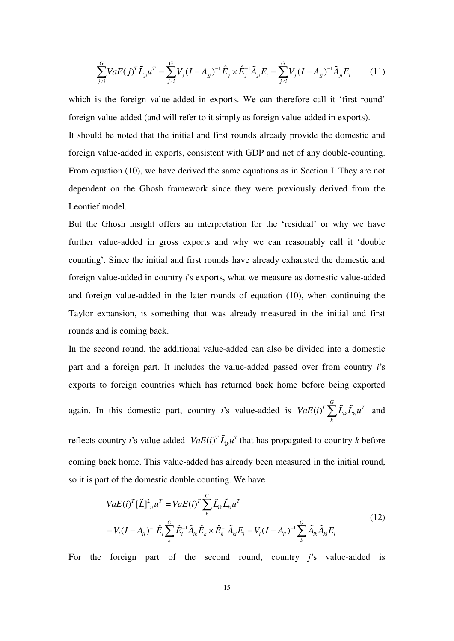$$
\sum_{j\neq i}^{G} VaE(j)^{T} \tilde{L}_{ji} u^{T} = \sum_{j\neq i}^{G} V_{j} (I - A_{jj})^{-1} \hat{E}_{j} \times \hat{E}_{j}^{-1} \tilde{A}_{ji} E_{i} = \sum_{j\neq i}^{G} V_{j} (I - A_{jj})^{-1} \tilde{A}_{ji} E_{i}
$$
(11)

which is the foreign value-added in exports. We can therefore call it 'first round' foreign value-added (and will refer to it simply as foreign value-added in exports). It should be noted that the initial and first rounds already provide the domestic and foreign value-added in exports, consistent with GDP and net of any double-counting. From equation (10), we have derived the same equations as in Section I. They are not dependent on the Ghosh framework since they were previously derived from the Leontief model.

But the Ghosh insight offers an interpretation for the 'residual' or why we have further value-added in gross exports and why we can reasonably call it 'double counting'. Since the initial and first rounds have already exhausted the domestic and foreign value-added in country *i*'s exports, what we measure as domestic value-added and foreign value-added in the later rounds of equation (10), when continuing the Taylor expansion, is something that was already measured in the initial and first rounds and is coming back.

In the second round, the additional value-added can also be divided into a domestic part and a foreign part. It includes the value-added passed over from country *i*'s exports to foreign countries which has returned back home before being exported again. In this domestic part, country  $i$ 's value-added is  $VaE(i)$  $T \sum_{i=1}^{G} \tilde{r}$   $\tilde{r}$   $\tilde{r}$ *ik ki*  $VaE(i)^{T} \sum_{k} \widetilde{L}_{ik} \widetilde{L}_{ki} u^{T}$  and

reflects country *i*'s value-added  $VaE(i)^T \tilde{L}_{ik} u^T$  that has propagated to country *k* before coming back home. This value-added has already been measured in the initial round, so it is part of the domestic double counting. We have

$$
VaE(i)^{T}[\tilde{L}]^{2}_{ii}u^{T} = VaE(i)^{T} \sum_{k}^{G} \tilde{L}_{ik}\tilde{L}_{ki}u^{T}
$$
  
=  $V_{i}(I - A_{ii})^{-1}\hat{E}_{i}\sum_{k}^{G} \hat{E}_{i}^{-1}\tilde{A}_{ik}\hat{E}_{k} \times \hat{E}_{k}^{-1}\tilde{A}_{ki}E_{i} = V_{i}(I - A_{ii})^{-1}\sum_{k}^{G} \tilde{A}_{ik}\tilde{A}_{ki}E_{i}$  (12)

For the foreign part of the second round, country *j*'s value-added is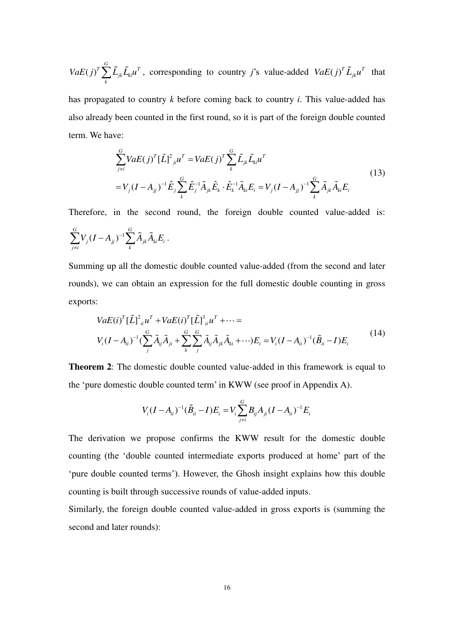$(j)$  $T \sum_{i=1}^{G} \tilde{r}$   $T \sim T$ *jk ki*  $VaE(j)^{T} \sum_{k} \tilde{L}_{jk} \tilde{L}_{ki} u^{T}$ , corresponding to country *j*'s value-added  $VaE(j)^{T} \tilde{L}_{jk} u^{T}$  that

has propagated to country *k* before coming back to country *i*. This value-added has also already been counted in the first round, so it is part of the foreign double counted term. We have:

$$
\sum_{j\neq i}^{G} VaE(j)^{T}[\tilde{L}]^{2}_{ji}u^{T} = VaE(j)^{T} \sum_{k}^{G} \tilde{L}_{jk} \tilde{L}_{ki}u^{T}
$$
\n
$$
= V_{j}(I - A_{jj})^{-1} \hat{E}_{j} \sum_{k}^{G} \hat{E}_{j}^{-1} \tilde{A}_{jk} \hat{E}_{k} \cdot \hat{E}_{k}^{-1} \tilde{A}_{ki} E_{i} = V_{j}(I - A_{jj})^{-1} \sum_{k}^{G} \tilde{A}_{jk} \tilde{A}_{ki} E_{i}
$$
\n(13)

Therefore, in the second round, the foreign double counted value-added is:  $(I - A_{ii})^{-1}$ *G G*  $j^{(1)}$   $\Delta_{jj}$   $\Delta_{j}$   $\Delta_{jk}$   $\Delta_{ki}$   $\Delta_{li}$  $j \neq i$  k  $V_i (I - A_{ii})^{-1} \sum \tilde{A}_{ik} \tilde{A}_{ki} E$  $\sum_{j\neq i} V_j (I-A_{jj})^{-1} \sum_k \widetilde{A}_{jk} \widetilde{A}_{ki} E_i \, .$ 

Summing up all the domestic double counted value-added (from the second and later rounds), we can obtain an expression for the full domestic double counting in gross exports:

$$
VaE(i)^{T}[\tilde{L}]^{2}_{ii}u^{T} + VaE(i)^{T}[\tilde{L}]^{3}_{ii}u^{T} + \cdots =
$$
  
\n
$$
V_{i}(I - A_{ii})^{-1}(\sum_{j}^{G} \tilde{A}_{ij} \tilde{A}_{ji} + \sum_{k}^{G} \sum_{j}^{G} \tilde{A}_{ij} \tilde{A}_{jk} \tilde{A}_{ki} + \cdots)E_{i} = V_{i}(I - A_{ii})^{-1}(\tilde{B}_{ii} - I)E_{i}
$$
\n(14)

**Theorem 2**: The domestic double counted value-added in this framework is equal to the 'pure domestic double counted term' in KWW (see proof in Appendix A).

$$
V_i (I - A_{ii})^{-1} (\tilde{B}_{ii} - I) E_i = V_i \sum_{j \neq i}^{G} B_{ij} A_{ji} (I - A_{ii})^{-1} E_i
$$

The derivation we propose confirms the KWW result for the domestic double counting (the 'double counted intermediate exports produced at home' part of the 'pure double counted terms'). However, the Ghosh insight explains how this double counting is built through successive rounds of value-added inputs.

Similarly, the foreign double counted value-added in gross exports is (summing the second and later rounds):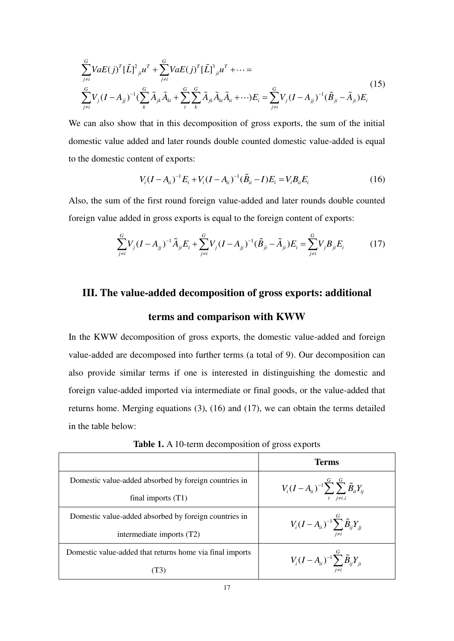$$
\sum_{j\neq i}^{G} VaE(j)^{T} \left[ \tilde{L} \right]_{jl}^{2} u^{T} + \sum_{j\neq i}^{G} VaE(j)^{T} \left[ \tilde{L} \right]_{jl}^{3} u^{T} + \cdots =
$$
\n
$$
\sum_{j\neq i}^{G} V_{j} (I - A_{jj})^{-1} \left( \sum_{k}^{G} \tilde{A}_{jk} \tilde{A}_{ki} + \sum_{t}^{G} \sum_{k}^{G} \tilde{A}_{jk} \tilde{A}_{kt} \tilde{A}_{ti} + \cdots \right) E_{i} = \sum_{j\neq i}^{G} V_{j} (I - A_{jj})^{-1} (\tilde{B}_{ji} - \tilde{A}_{ji}) E_{i}
$$
\n(15)

We can also show that in this decomposition of gross exports, the sum of the initial domestic value added and later rounds double counted domestic value-added is equal to the domestic content of exports:

$$
V_i(I - A_{ii})^{-1} E_i + V_i (I - A_{ii})^{-1} (\tilde{B}_{ii} - I) E_i = V_i B_{ii} E_i
$$
 (16)

Also, the sum of the first round foreign value-added and later rounds double counted foreign value added in gross exports is equal to the foreign content of exports:

$$
\sum_{j\neq i}^{G} V_j (I - A_{jj})^{-1} \tilde{A}_{ji} E_i + \sum_{j\neq i}^{G} V_j (I - A_{jj})^{-1} (\tilde{B}_{ji} - \tilde{A}_{ji}) E_i = \sum_{j\neq i}^{G} V_j B_{ji} E_i
$$
(17)

### **III. The value-added decomposition of gross exports: additional**

#### **terms and comparison with KWW**

In the KWW decomposition of gross exports, the domestic value-added and foreign value-added are decomposed into further terms (a total of 9). Our decomposition can also provide similar terms if one is interested in distinguishing the domestic and foreign value-added imported via intermediate or final goods, or the value-added that returns home. Merging equations (3), (16) and (17), we can obtain the terms detailed in the table below:

|                                                          | Terms                                                                       |
|----------------------------------------------------------|-----------------------------------------------------------------------------|
| Domestic value-added absorbed by foreign countries in    | $V_i (I - A_{ii})^{-1} \sum_{i=1}^{G} \sum_{j=1}^{G} \tilde{B}_{it} Y_{ti}$ |
| final imports $(T1)$                                     | $t \quad i \neq t, i$                                                       |
| Domestic value-added absorbed by foreign countries in    | $V_i (I - A_{ii})^{-1} \sum_{j}^{G} \tilde{B}_{ij} Y_{jj}$                  |
| intermediate imports (T2)                                |                                                                             |
| Domestic value-added that returns home via final imports | $V_i (I - A_{ii})^{-1} \sum_{j}^{G} \tilde{B}_{ij} Y_{ji}$                  |
| T3)                                                      |                                                                             |

**Table 1.** A 10-term decomposition of gross exports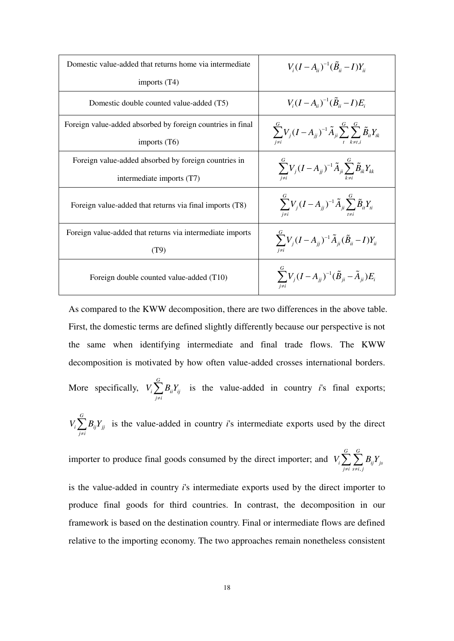| Domestic value-added that returns home via intermediate    | $V_{i}(I-A_{ii})^{-1}(\tilde{B}_{ii}-I)Y_{ii}$                                                    |
|------------------------------------------------------------|---------------------------------------------------------------------------------------------------|
| imports $(T4)$                                             |                                                                                                   |
| Domestic double counted value-added (T5)                   | $V_i(I-A_{ii})^{-1}(\tilde{B}_{ii}-I)E_i$                                                         |
| Foreign value-added absorbed by foreign countries in final | $\sum^G V_j (I-A_{jj})^{-1} \tilde{A}_{ji} \sum^G \sum^{\sigma}_{k \neq i} \tilde{B}_{ii} Y_{ik}$ |
| imports $(T6)$                                             |                                                                                                   |
| Foreign value-added absorbed by foreign countries in       | $\sum_{i=1}^{6} V_j (I - A_{jj})^{-1} \tilde{A}_{ji} \sum_{i=1}^{6} \tilde{B}_{ik} Y_{kk}$        |
| intermediate imports (T7)                                  |                                                                                                   |
| Foreign value-added that returns via final imports (T8)    | $\sum_{i}^{G} V_j (I - A_{jj})^{-1} \tilde{A}_{ji} \sum_{i}^{G} \tilde{B}_{ii} Y_{ii}$            |
| Foreign value-added that returns via intermediate imports  |                                                                                                   |
| (T9)                                                       | $\sum_{j}^{N} V_j (I - A_{jj})^{-1} \tilde{A}_{ji} (\tilde{B}_{ii} - I) Y_{ii}$                   |
| Foreign double counted value-added (T10)                   | $\sum V_j (I - A_{jj})^{-1} (\tilde{B}_{ji} - \tilde{A}_{ji}) E_i$                                |

As compared to the KWW decomposition, there are two differences in the above table. First, the domestic terms are defined slightly differently because our perspective is not the same when identifying intermediate and final trade flows. The KWW decomposition is motivated by how often value-added crosses international borders. More specifically, *G*  $i \sum \boldsymbol{\nu}_{ii} \boldsymbol{\mu}_{ij}$ *j i*  $V_i$ ,  $B_{ii}Y_i$  $\sum_{j \neq i} B_{ij} Y_{ij}$  is the value-added in country *i*'s final exports; *G*  $i \sum \bm{\nu}_{ij} \bm{\mu}_{jj}$ *j i*  $V_i$ ,  $B_{ii}Y$  $\sum_{j \neq i} B_{ij} Y_{jj}$  is the value-added in country *i*'s intermediate exports used by the direct

importer to produce final goods consumed by the direct importer; and , *G G*  $i \mathrel{\sqcup} \mathrel{\sqcup} \mathrel{\sqcup} \cdots$   $\mathrel{\sqcup}$   $\mathrel{\sqcup}$   $\mathrel{\sqcup}$   $\mathrel{\sqcup}$   $\mathrel{\sqcup}$   $\mathrel{\sqcup}$   $\mathrel{\sqcup}$   $\mathrel{\sqcup}$   $\mathrel{\sqcup}$   $\mathrel{\sqcup}$   $\mathrel{\sqcup}$   $\mathrel{\sqcup}$   $\mathrel{\sqcup}$   $\mathrel{\sqcup}$   $\mathrel{\sqcup}$   $\mathrel{\sqcup}$   $\mathrel{\sqcup}$   $\mathrel{\sqcup}$   $\mathrel{\sqcup}$   $\math$ *j i s i j*  $V_i$ ,  $\sum B_{ii}$  $\sum_{j\neq i}\sum_{s\neq i,j}$ 

is the value-added in country *i*'s intermediate exports used by the direct importer to produce final goods for third countries. In contrast, the decomposition in our framework is based on the destination country. Final or intermediate flows are defined relative to the importing economy. The two approaches remain nonetheless consistent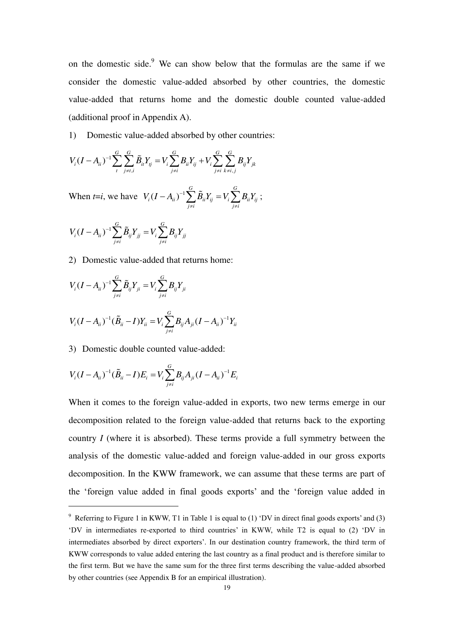on the domestic side. $9$  We can show below that the formulas are the same if we consider the domestic value-added absorbed by other countries, the domestic value-added that returns home and the domestic double counted value-added (additional proof in Appendix A).

1) Domestic value-added absorbed by other countries:

$$
V_i(I - A_{ii})^{-1} \sum_{t}^{G} \sum_{j \neq i, i}^{G} \tilde{B}_{ii} Y_{tj} = V_i \sum_{j \neq i}^{G} B_{ii} Y_{tj} + V_i \sum_{j \neq i}^{G} \sum_{k \neq i, j}^{G} B_{ij} Y_{jk}
$$

When *t*=*i*, we have  $V_i (I - A_{ii})^{-1}$ *G G i ii ii ij i ii ij*  $j \neq i$   $j \neq i$  $V_i (I - A_{ii})^{-1} \sum \tilde{B}_{ii} Y_{ii} = V_i \sum B_{ii} Y_i$  $(-A_{ii})^{-1}\sum_{j\neq i} \tilde B_{ii}Y_{ij} = V_i\sum_{j\neq i} B_{ii}Y_{ij} \; ;$ 

$$
V_i (I - A_{ii})^{-1} \sum_{j \neq i}^{G} \tilde{B}_{ij} Y_{jj} = V_i \sum_{j \neq i}^{G} B_{ij} Y_{jj}
$$

2) Domestic value-added that returns home:

$$
V_i (I - A_{ii})^{-1} \sum_{j \neq i}^{G} \tilde{B}_{ij} Y_{ji} = V_i \sum_{j \neq i}^{G} B_{ij} Y_{ji}
$$
  

$$
V_i (I - A_{ii})^{-1} (\tilde{B}_{ii} - I) Y_{ii} = V_i \sum_{j \neq i}^{G} B_{ij} A_{ji} (I - A_{ii})^{-1} Y_{ii}
$$

3) Domestic double counted value-added:

-

$$
V_i (I - A_{ii})^{-1} (\tilde{B}_{ii} - I) E_i = V_i \sum_{j \neq i}^{G} B_{ij} A_{ji} (I - A_{ii})^{-1} E_i
$$

When it comes to the foreign value-added in exports, two new terms emerge in our decomposition related to the foreign value-added that returns back to the exporting country *I* (where it is absorbed). These terms provide a full symmetry between the analysis of the domestic value-added and foreign value-added in our gross exports decomposition. In the KWW framework, we can assume that these terms are part of the 'foreign value added in final goods exports' and the 'foreign value added in

<sup>&</sup>lt;sup>9</sup> Referring to Figure 1 in KWW, T1 in Table 1 is equal to (1) 'DV in direct final goods exports' and (3) 'DV in intermediates re-exported to third countries' in KWW, while T2 is equal to (2) 'DV in intermediates absorbed by direct exporters'. In our destination country framework, the third term of KWW corresponds to value added entering the last country as a final product and is therefore similar to the first term. But we have the same sum for the three first terms describing the value-added absorbed by other countries (see Appendix B for an empirical illustration).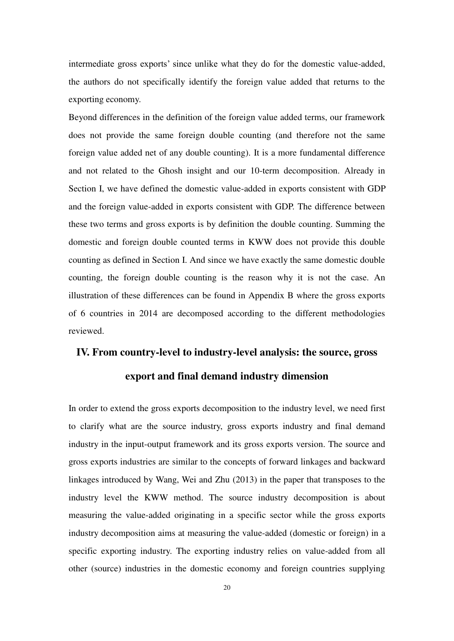intermediate gross exports' since unlike what they do for the domestic value-added, the authors do not specifically identify the foreign value added that returns to the exporting economy.

Beyond differences in the definition of the foreign value added terms, our framework does not provide the same foreign double counting (and therefore not the same foreign value added net of any double counting). It is a more fundamental difference and not related to the Ghosh insight and our 10-term decomposition. Already in Section I, we have defined the domestic value-added in exports consistent with GDP and the foreign value-added in exports consistent with GDP. The difference between these two terms and gross exports is by definition the double counting. Summing the domestic and foreign double counted terms in KWW does not provide this double counting as defined in Section I. And since we have exactly the same domestic double counting, the foreign double counting is the reason why it is not the case. An illustration of these differences can be found in Appendix B where the gross exports of 6 countries in 2014 are decomposed according to the different methodologies reviewed.

#### **IV. From country-level to industry-level analysis: the source, gross**

#### **export and final demand industry dimension**

In order to extend the gross exports decomposition to the industry level, we need first to clarify what are the source industry, gross exports industry and final demand industry in the input-output framework and its gross exports version. The source and gross exports industries are similar to the concepts of forward linkages and backward linkages introduced by Wang, Wei and Zhu (2013) in the paper that transposes to the industry level the KWW method. The source industry decomposition is about measuring the value-added originating in a specific sector while the gross exports industry decomposition aims at measuring the value-added (domestic or foreign) in a specific exporting industry. The exporting industry relies on value-added from all other (source) industries in the domestic economy and foreign countries supplying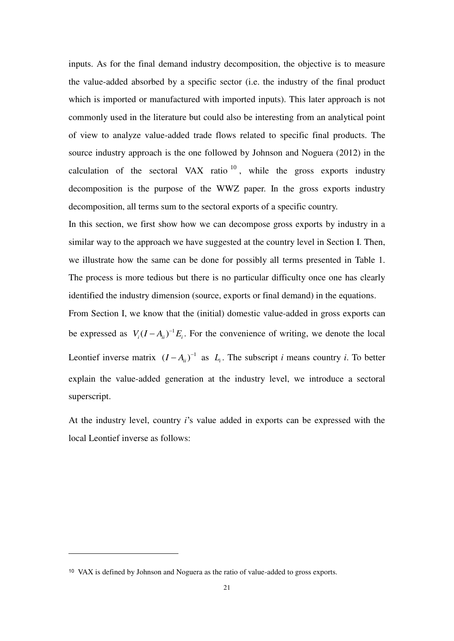inputs. As for the final demand industry decomposition, the objective is to measure the value-added absorbed by a specific sector (i.e. the industry of the final product which is imported or manufactured with imported inputs). This later approach is not commonly used in the literature but could also be interesting from an analytical point of view to analyze value-added trade flows related to specific final products. The source industry approach is the one followed by Johnson and Noguera (2012) in the calculation of the sectoral VAX ratio  $10$ , while the gross exports industry decomposition is the purpose of the WWZ paper. In the gross exports industry decomposition, all terms sum to the sectoral exports of a specific country.

In this section, we first show how we can decompose gross exports by industry in a similar way to the approach we have suggested at the country level in Section I. Then, we illustrate how the same can be done for possibly all terms presented in Table 1. The process is more tedious but there is no particular difficulty once one has clearly identified the industry dimension (source, exports or final demand) in the equations.

From Section I, we know that the (initial) domestic value-added in gross exports can be expressed as  $V_i (I - A_{ii})^{-1} E_i$ . For the convenience of writing, we denote the local Leontief inverse matrix  $(I - A_{ii})^{-1}$  as  $L_i$ . The subscript *i* means country *i*. To better explain the value-added generation at the industry level, we introduce a sectoral superscript.

At the industry level, country *i*'s value added in exports can be expressed with the local Leontief inverse as follows:

<sup>10</sup> VAX is defined by Johnson and Noguera as the ratio of value-added to gross exports.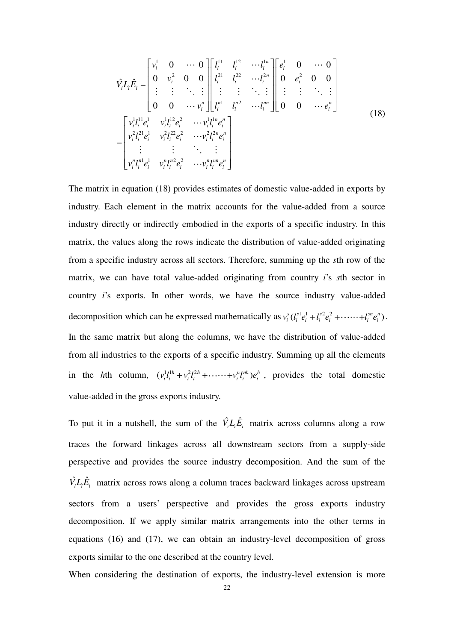$$
\hat{V}_{i}L_{i}\hat{E}_{i} = \begin{bmatrix}\nv_{i}^{1} & 0 & \cdots & 0 \\
0 & v_{i}^{2} & 0 & 0 \\
\vdots & \vdots & \ddots & \vdots \\
0 & 0 & \cdots & v_{i}^{n}\n\end{bmatrix}\begin{bmatrix}\nl_{i}^{11} & l_{i}^{12} & \cdots & l_{i}^{1n} \\
l_{i}^{21} & l_{i}^{22} & \cdots & l_{i}^{2n} \\
\vdots & \vdots & \ddots & \vdots \\
l_{n}^{n1} & l_{i}^{n2} & \cdots & l_{i}^{nn}\n\end{bmatrix}\begin{bmatrix}\ne_{i}^{1} & 0 & \cdots & 0 \\
0 & e_{i}^{2} & 0 & 0 \\
\vdots & \vdots & \ddots & \vdots \\
0 & 0 & \cdots & e_{i}^{n}\n\end{bmatrix}
$$
\n
$$
= \begin{bmatrix}\nv_{i}^{1}l_{i}^{11}e_{i}^{1} & v_{i}^{1}l_{i}^{12}e_{i}^{2} & \cdots & v_{i}^{1}l_{i}^{1n}e_{i}^{n} \\
v_{i}^{2}l_{i}^{21}e_{i}^{1} & v_{i}^{2}l_{i}^{22}e_{i}^{2} & \cdots & v_{i}^{2}l_{i}^{2n}e_{i}^{n} \\
\vdots & \vdots & \ddots & \vdots \\
v_{i}^{n}l_{i}^{n1}e_{i}^{1} & v_{i}^{n}l_{i}^{n2}e_{i}^{2} & \cdots & v_{i}^{n}l_{i}^{m}e_{i}^{n}\n\end{bmatrix}
$$
\n(18)

The matrix in equation (18) provides estimates of domestic value-added in exports by industry. Each element in the matrix accounts for the value-added from a source industry directly or indirectly embodied in the exports of a specific industry. In this matrix, the values along the rows indicate the distribution of value-added originating from a specific industry across all sectors. Therefore, summing up the *s*th row of the matrix, we can have total value-added originating from country *i*'s *s*th sector in country *i*'s exports. In other words, we have the source industry value-added decomposition which can be expressed mathematically as  $v_i^s (l_i^{s1} e_i^1 + l_i^{s2} e_i^2 + \cdots + l_i^{s n} e_i^n)$ . In the same matrix but along the columns, we have the distribution of value-added from all industries to the exports of a specific industry. Summing up all the elements in the *h*th column,  $(v_i^1 l_i^{1/h} + v_i^2 l_i^{2/h} + \cdots + v_i^n l_i^{nh}) e_i^h$ , provides the total domestic value-added in the gross exports industry.

To put it in a nutshell, the sum of the  $\hat{V}_i L_i \hat{E}_i$  matrix across columns along a row traces the forward linkages across all downstream sectors from a supply-side perspective and provides the source industry decomposition. And the sum of the  $\hat{V}_i L_i \hat{E}_i$  matrix across rows along a column traces backward linkages across upstream sectors from a users' perspective and provides the gross exports industry decomposition. If we apply similar matrix arrangements into the other terms in equations (16) and (17), we can obtain an industry-level decomposition of gross exports similar to the one described at the country level.

When considering the destination of exports, the industry-level extension is more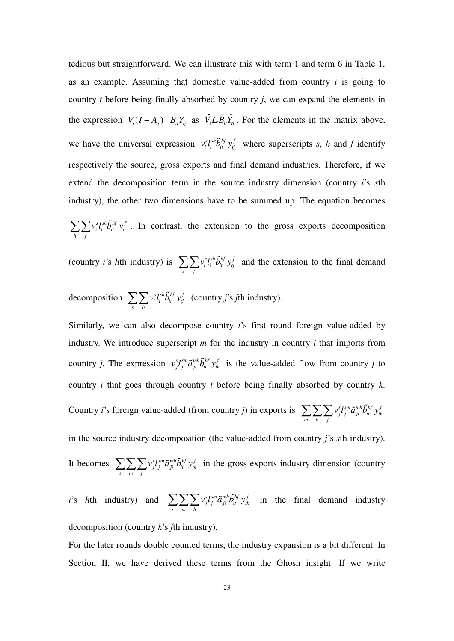tedious but straightforward. We can illustrate this with term 1 and term 6 in Table 1, as an example. Assuming that domestic value-added from country *i* is going to country *t* before being finally absorbed by country *j*, we can expand the elements in the expression  $V_i (I - A_{ii})^{-1} \tilde{B}_{ii} Y_{ij}$  as  $\hat{V}_i L_i \tilde{B}_{ii} \hat{Y}_j$ . For the elements in the matrix above, we have the universal expression  $v_i^s l_i^{sh} \tilde{b}_{it}^{hf} y_j^f$  where superscripts *s*, *h* and *f* identify respectively the source, gross exports and final demand industries. Therefore, if we extend the decomposition term in the source industry dimension (country *i*'s *s*th industry), the other two dimensions have to be summed up. The equation becomes *s s s s h*  $\tilde{h}$  *f*  $f$  *j*, *f i i it tj*  $\sum_{h} \sum_{f} v_i^s l_i^{sh} \tilde{b}_{it}^{hf} y_i^f$ . In contrast, the extension to the gross exports decomposition

(country *i*'s *h*th industry) is  $\sum \sum v_i^s l_i^{sh} \tilde{b}_{it}^{hf} y_{it}^j$  $\sum_{s} \sum_{f} v_i^s l_i^{sh} \tilde{b}_{it}^{hf} y_j^f$  and the extension to the final demand

decomposition 
$$
\sum_{s} \sum_{h} v_i^{s} l_i^{sh} \tilde{b}_{it}^{hf} y_i^f
$$
 (country j's fth industry).

Similarly, we can also decompose country *i*'s first round foreign value-added by industry. We introduce superscript *m* for the industry in country *i* that imports from country *j*. The expression  $v_j^s l_j^{sm} \tilde{a}_{ji}^{m} \tilde{b}_{it}^{hf} y_{tk}^f$  is the value-added flow from country *j* to country *i* that goes through country *t* before being finally absorbed by country *k*. Country *i*'s foreign value-added (from country *j*) in exports is  $\sum \sum \sum v_j^s l_j^{sm} \tilde{a}_{ji}^{mh} \tilde{b}_{it}^{hf} y_{tk}^f$  $\sum_{m}\sum_{h}\sum_{f}v_{j}^{s}l_{j}^{sm}\tilde{a}_{ji}^{mh}\tilde{b}_{it}^{hf}$  y in the source industry decomposition (the value-added from country *j*'s *s*th industry). It becomes  $\sum \sum \sum v_j^s l_j^{sm} \tilde{a}_{ji}^{mh} \tilde{b}_{it}^{hf} y_{tk}^f$  $\sum_{s} \sum_{m} \sum_{f} v_j^s l_j^{sm} \tilde{a}_{ji}^{mh} \tilde{b}_{it}^{hf} y_{tk}^f$  in the gross exports industry dimension (country

*i*'s *h*th industry) and 
$$
\sum_{s} \sum_{m} \sum_{h} v_{j}^{s} l_{j}^{sm} \tilde{a}_{ji}^{mh} \tilde{b}_{it}^{hf} y_{tk}^{f}
$$
 in the final demand industry decomposition (country *k*'s *f*th industry).

For the later rounds double counted terms, the industry expansion is a bit different. In Section II, we have derived these terms from the Ghosh insight. If we write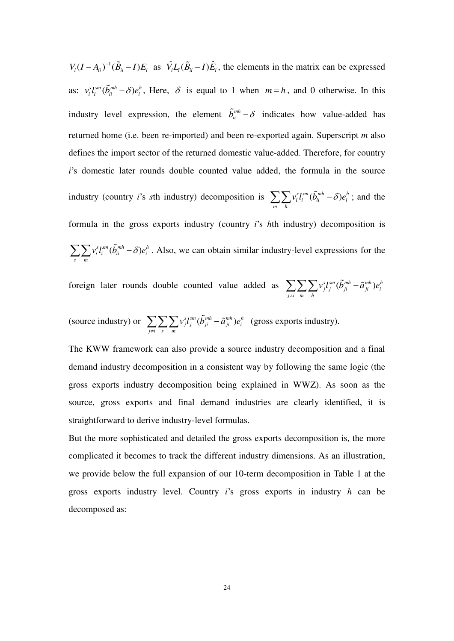$V_i (I - A_{ii})^{-1} (\tilde{B}_{ii} - I) E_i$  as  $\hat{V_i} L_i (\tilde{B}_{ii} - I) \hat{E}_i$ , the elements in the matrix can be expressed as:  $v_i^s I_i^{sm}(\tilde{b}_{ii}^{mh}-\delta) e_i^h$ , Here,  $\delta$  is equal to 1 when  $m=h$ , and 0 otherwise. In this industry level expression, the element  $\tilde{b}_{ii}^{m} - \delta$  indicates how value-added has returned home (i.e. been re-imported) and been re-exported again. Superscript *m* also defines the import sector of the returned domestic value-added. Therefore, for country *i*'s domestic later rounds double counted value added, the formula in the source industry (country *i*'s *s*th industry) decomposition is  $\sum \sum v_i^s l_i^{sm} (\tilde{b}_{ii}^{mh} - \delta) e_i^h$  $\sum_{m} \sum_{h} v_i^s l_i^{sm} (\tilde{b}_{ii}^{mh} - \delta) e_i^h$ ; and the formula in the gross exports industry (country *i*'s *h*th industry) decomposition is  $\delta_i^s l_i^{sm}(\tilde b_{ii}^{mh}-\delta)e_i^h$  $\sum_s \sum_m v_i^s l_i^{sm} (\tilde{b}_{ii}^{mh} - \delta) e_i^h$ . Also, we can obtain similar industry-level expressions for the

foreign later rounds double counted value added as  $\sum \sum \sum v_j^s l_j^{sm} (\tilde{b}_{ji}^{mh} - \tilde{a}_{ji}^{mh}) e_i^h$ *j i m h*  $v_i^s l_i^{sm} (b_{ii}^{mh} - \tilde{a}_{ii}^{mh})e_i$  $\sum_{j\neq i}\sum_m\sum_h\nu^s_j l^{sm}_j(\tilde b^{mh}_{ji}-$ 

(source industry) or  $\sum \sum \sum v_i^s l_j^{sm} (\tilde{b}_{ji}^{mh} - \tilde{a}_{ji}^{mh}) e_i^h$ *j i s m*  $v_i^s l_i^{sm} (b_{ii}^{mh} - \tilde{a}_{ii}^{mh})e_i$  $\sum_{j\neq i}\sum_{s}\sum_{m}v_j^{s}l_j^{sm}(\tilde{b}_{ji}^{mh}-\tilde{a}_{ji}^{mh})e_i^h$  (gross exports industry).

The KWW framework can also provide a source industry decomposition and a final demand industry decomposition in a consistent way by following the same logic (the gross exports industry decomposition being explained in WWZ). As soon as the source, gross exports and final demand industries are clearly identified, it is straightforward to derive industry-level formulas.

But the more sophisticated and detailed the gross exports decomposition is, the more complicated it becomes to track the different industry dimensions. As an illustration, we provide below the full expansion of our 10-term decomposition in Table 1 at the gross exports industry level. Country *i*'s gross exports in industry *h* can be decomposed as: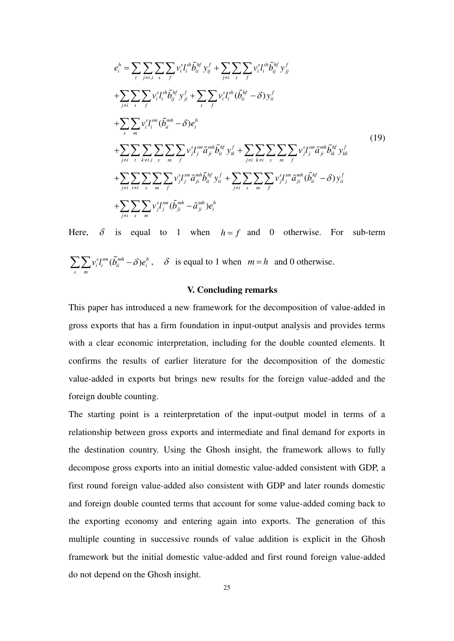$$
e_{i}^{h} = \sum_{i} \sum_{j \neq i, i} \sum_{s} \sum_{f} v_{i}^{s} l_{i}^{sh} \tilde{b}_{it}^{hf} y_{ij}^{f} + \sum_{j \neq i} \sum_{s} \sum_{f} v_{i}^{s} l_{i}^{sh} \tilde{b}_{ij}^{hf} y_{jj}^{f}
$$
  
+
$$
\sum_{j \neq i} \sum_{s} \sum_{f} v_{i}^{s} l_{i}^{sh} \tilde{b}_{ij}^{hf} y_{ji}^{f} + \sum_{s} \sum_{f} v_{i}^{s} l_{i}^{sh} (\tilde{b}_{ii}^{hf} - \delta) y_{ii}^{f}
$$
  
+
$$
\sum_{s} \sum_{m} v_{i}^{s} l_{i}^{sm} (\tilde{b}_{ii}^{mh} - \delta) e_{i}^{h}
$$
  
+
$$
\sum_{j \neq i} \sum_{t} \sum_{k \neq i, i} \sum_{s} \sum_{m} \sum_{f} v_{j}^{s} l_{j}^{sm} \tilde{a}_{ji}^{mh} \tilde{b}_{it}^{hf} y_{ik}^{f} + \sum_{j \neq i} \sum_{k \neq i} \sum_{s} \sum_{m} \sum_{f} v_{j}^{s} l_{j}^{sm} \tilde{a}_{ji}^{mh} \tilde{b}_{ik}^{hf} y_{jk}^{f}
$$
  
+
$$
\sum_{j \neq i} \sum_{t \neq i} \sum_{s} \sum_{m} \sum_{f} v_{j}^{s} l_{j}^{sm} \tilde{a}_{ji}^{mh} \tilde{b}_{it}^{hf} y_{i}^{f} + \sum_{j \neq i} \sum_{s} \sum_{m} \sum_{f} v_{j}^{s} l_{j}^{sm} \tilde{a}_{ji}^{mh} (\tilde{b}_{ii}^{hf} - \delta) y_{ii}^{f}
$$
  
+
$$
\sum_{j \neq i} \sum_{s} \sum_{m} v_{j}^{s} l_{j}^{sm} (\tilde{b}_{ji}^{mh} - \tilde{a}_{ji}^{mh}) e_{i}^{h}
$$

Here,  $\delta$  is equal to 1 when  $h = f$  and 0 otherwise. For sub-term  $\delta_i^s l_i^{sm}(\tilde b_{ii}^{mh}-\delta)e_i^h$  $\sum_{s} \sum_{m} v_i^{s} l_i^{sm} (\tilde{b}_{ii}^{mh} - \delta) e_i^h$ ,  $\delta$  is equal to 1 when  $m = h$  and 0 otherwise.

#### **V. Concluding remarks**

This paper has introduced a new framework for the decomposition of value-added in gross exports that has a firm foundation in input-output analysis and provides terms with a clear economic interpretation, including for the double counted elements. It confirms the results of earlier literature for the decomposition of the domestic value-added in exports but brings new results for the foreign value-added and the foreign double counting.

The starting point is a reinterpretation of the input-output model in terms of a relationship between gross exports and intermediate and final demand for exports in the destination country. Using the Ghosh insight, the framework allows to fully decompose gross exports into an initial domestic value-added consistent with GDP, a first round foreign value-added also consistent with GDP and later rounds domestic and foreign double counted terms that account for some value-added coming back to the exporting economy and entering again into exports. The generation of this multiple counting in successive rounds of value addition is explicit in the Ghosh framework but the initial domestic value-added and first round foreign value-added do not depend on the Ghosh insight.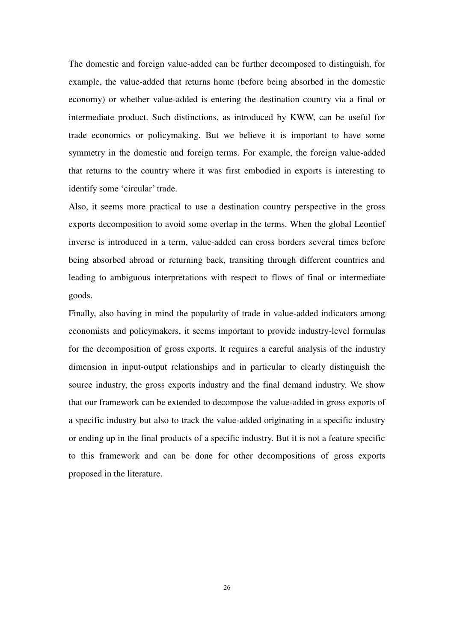The domestic and foreign value-added can be further decomposed to distinguish, for example, the value-added that returns home (before being absorbed in the domestic economy) or whether value-added is entering the destination country via a final or intermediate product. Such distinctions, as introduced by KWW, can be useful for trade economics or policymaking. But we believe it is important to have some symmetry in the domestic and foreign terms. For example, the foreign value-added that returns to the country where it was first embodied in exports is interesting to identify some 'circular' trade.

Also, it seems more practical to use a destination country perspective in the gross exports decomposition to avoid some overlap in the terms. When the global Leontief inverse is introduced in a term, value-added can cross borders several times before being absorbed abroad or returning back, transiting through different countries and leading to ambiguous interpretations with respect to flows of final or intermediate goods.

Finally, also having in mind the popularity of trade in value-added indicators among economists and policymakers, it seems important to provide industry-level formulas for the decomposition of gross exports. It requires a careful analysis of the industry dimension in input-output relationships and in particular to clearly distinguish the source industry, the gross exports industry and the final demand industry. We show that our framework can be extended to decompose the value-added in gross exports of a specific industry but also to track the value-added originating in a specific industry or ending up in the final products of a specific industry. But it is not a feature specific to this framework and can be done for other decompositions of gross exports proposed in the literature.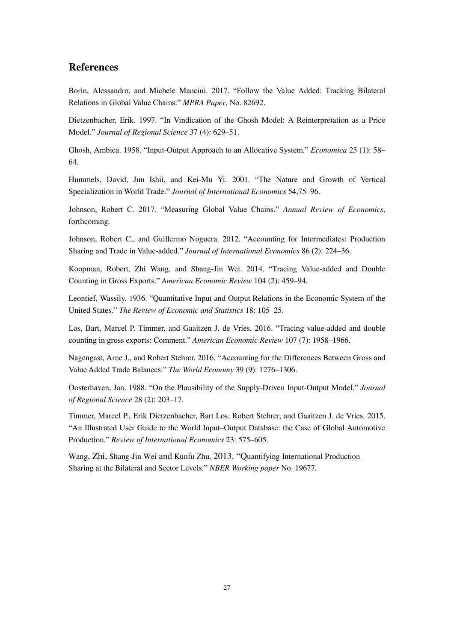#### **References**

Borin, Alessandro, and Michele Mancini. 2017. "Follow the Value Added: Tracking Bilateral Relations in Global Value Chains." *MPRA Paper*, No. 82692.

Dietzenbacher, Erik. 1997. "In Vindication of the Ghosh Model: A Reinterpretation as a Price Model." *Journal of Regional Science* 37 (4): 629–51.

Ghosh, Ambica. 1958. "Input-Output Approach to an Allocative System." *Economica* 25 (1): 58– 64.

Hummels, David, Jun Ishii, and Kei-Mu Yi. 2001. "The Nature and Growth of Vertical Specialization in World Trade." *Journal of International Economics* 54,75–96.

Johnson, Robert C. 2017. "Measuring Global Value Chains." *Annual Review of Economics*, forthcoming.

Johnson, Robert C., and Guillermo Noguera. 2012. "Accounting for Intermediates: Production Sharing and Trade in Value-added." *Journal of International Economics* 86 (2): 224–36.

Koopman, Robert, Zhi Wang, and Shang-Jin Wei. 2014. "Tracing Value-added and Double Counting in Gross Exports." *American Economic Review* 104 (2): 459–94.

Leontief, Wassily. 1936. "Quantitative Input and Output Relations in the Economic System of the United States." *The Review of Economic and Statistics* 18: 105–25.

Los, Bart, Marcel P. Timmer, and Gaaitzen J. de Vries. 2016. "Tracing value-added and double counting in gross exports: Comment." *American Economic Review* 107 (7): 1958–1966.

Nagengast, Arne J., and Robert Stehrer. 2016. "Accounting for the Differences Between Gross and Value Added Trade Balances." *The World Economy* 39 (9): 1276–1306.

Oosterhaven, Jan. 1988. "On the Plausibility of the Supply-Driven Input-Output Model." *Journal of Regional Science* 28 (2): 203–17.

Timmer, Marcel P., Erik Dietzenbacher, Bart Los, Robert Stehrer, and Gaaitzen J. de Vries. 2015. "An Illustrated User Guide to the World Input–Output Database: the Case of Global Automotive Production." *Review of International Economics* 23: 575–605.

Wang, Zhi, Shang-Jin Wei and Kunfu Zhu. 2013. "Quantifying International Production Sharing at the Bilateral and Sector Levels." *NBER Working paper* No. 19677*.*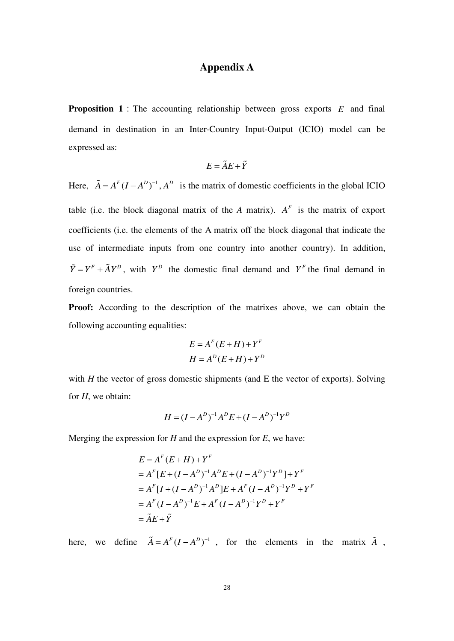### **Appendix A**

**Proposition 1**: The accounting relationship between gross exports *E* and final demand in destination in an Inter-Country Input-Output (ICIO) model can be expressed as:

$$
E = \tilde{A}E + \tilde{Y}
$$

Here,  $\tilde{A} = A^F (I - A^D)^{-1}$ ,  $A^D$  is the matrix of domestic coefficients in the global ICIO table (i.e. the block diagonal matrix of the *A* matrix).  $A<sup>F</sup>$  is the matrix of export coefficients (i.e. the elements of the A matrix off the block diagonal that indicate the use of intermediate inputs from one country into another country). In addition,  $\tilde{Y} = Y^F + \tilde{A}Y^D$ , with  $Y^D$  the domestic final demand and  $Y^F$  the final demand in foreign countries.

Proof: According to the description of the matrixes above, we can obtain the following accounting equalities:

$$
E = AF (E + H) + YF
$$

$$
H = AD (E + H) + YD
$$

with *H* the vector of gross domestic shipments (and E the vector of exports). Solving for *H*, we obtain:

$$
H = (I - A^{D})^{-1}A^{D}E + (I - A^{D})^{-1}Y^{D}
$$

Merging the expression for *H* and the expression for *E*, we have:

$$
E = AF (E + H) + YF
$$
  
=  $AF [E + (I - AD)-1 AD E + (I - AD)-1 YD ] + YF$   
=  $AF [I + (I - AD)-1 AD ] E + AF (I - AD)-1 YD + YF$   
=  $AF (I - AD)-1 E + AF (I - AD)-1 YD + YF$   
=  $\tilde{A} E + \tilde{Y}$ 

here, we define  $\tilde{A} = A^F (I - A^D)^{-1}$ , for the elements in the matrix  $\tilde{A}$ ,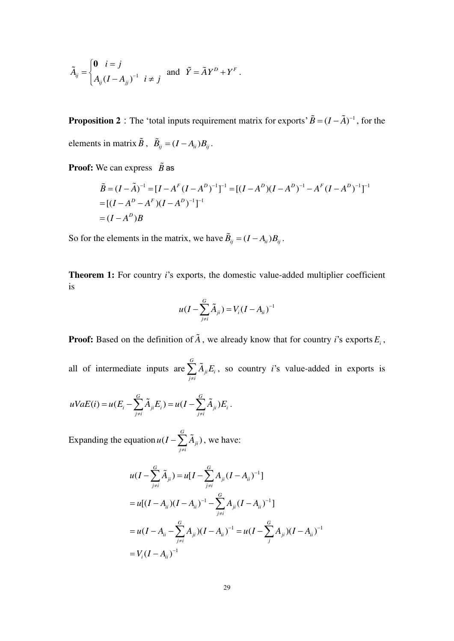$$
\tilde{A}_{ij} = \begin{cases} \n\mathbf{0} & i = j \\ \nA_{ij} (I - A_{jj})^{-1} & i \neq j \n\end{cases} \quad \text{and} \quad \tilde{Y} = \tilde{A} Y^D + Y^F \,.
$$

**Proposition 2** : The 'total inputs requirement matrix for exports'  $\tilde{B} = (I - \tilde{A})^{-1}$ , for the elements in matrix  $\tilde{B}$ ,  $\tilde{B}_{ij} = (I - A_{ii})B_{ij}$ .

**Proof:** We can express  $\tilde{B}$  as

$$
\tilde{B} = (I - \tilde{A})^{-1} = [I - A^{F} (I - A^{D})^{-1}]^{-1} = [(I - A^{D})(I - A^{D})^{-1} - A^{F} (I - A^{D})^{-1}]^{-1}
$$
  
= [(I - A^{D} - A^{F})(I - A^{D})^{-1}]^{-1}  
= (I - A^{D})B

So for the elements in the matrix, we have  $\tilde{B}_{ij} = (I - A_{ii})B_{ij}$ .

**Theorem 1:** For country *i*'s exports, the domestic value-added multiplier coefficient is

$$
u(I - \sum_{j \neq i}^{G} \tilde{A}_{ji}) = V_i (I - A_{ii})^{-1}
$$

**Proof:** Based on the definition of *A* , we already know that for country *i*'s exports *E<sup>i</sup>* ,

all of intermediate inputs are *G ji i j i*  $A_{ii}E$  $\sum_{j \neq i} \tilde{A}_{ji} E_i$ , so country *i*'s value-added in exports is

$$
uVaE(i) = u(E_i - \sum_{j \neq i}^{G} \tilde{A}_{ji}E_i) = u(I - \sum_{j \neq i}^{G} \tilde{A}_{ji})E_i.
$$

Expanding the equation  $u(I - \sum A_{ii})$ *G ji j i*  $u(I-\sum A$  $-\sum_{j\neq i} \tilde{A}_{ji}$ ), we have:

$$
u(I - \sum_{j \neq i}^{G} \tilde{A}_{ji}) = u[I - \sum_{j \neq i}^{G} A_{ji} (I - A_{ii})^{-1}]
$$
  
=  $u[(I - A_{ii})(I - A_{ii})^{-1} - \sum_{j \neq i}^{G} A_{ji} (I - A_{ii})^{-1}]$   
=  $u(I - A_{ii} - \sum_{j \neq i}^{G} A_{ji}) (I - A_{ii})^{-1} = u(I - \sum_{j}^{G} A_{ji}) (I - A_{ii})^{-1}$   
=  $V_i (I - A_{ii})^{-1}$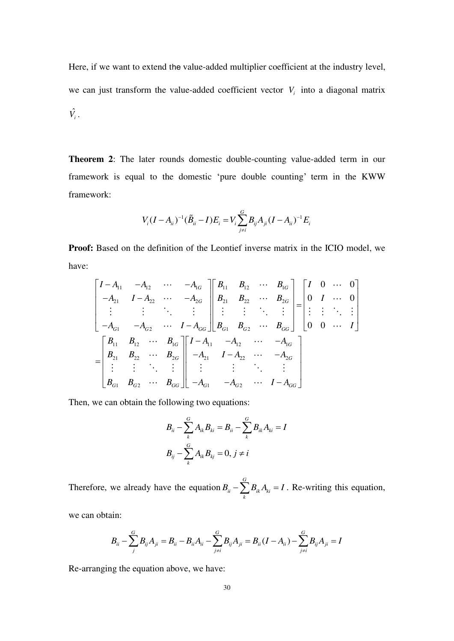Here, if we want to extend the value-added multiplier coefficient at the industry level, we can just transform the value-added coefficient vector  $V_i$  into a diagonal matrix  $\hat{V}_i$  .

**Theorem 2**: The later rounds domestic double-counting value-added term in our framework is equal to the domestic 'pure double counting' term in the KWW framework:

$$
V_i (I - A_{ii})^{-1} (\tilde{B}_{ii} - I) E_i = V_i \sum_{j \neq i}^{G} B_{ij} A_{ji} (I - A_{ii})^{-1} E_i
$$

Proof: Based on the definition of the Leontief inverse matrix in the ICIO model, we have:

$$
\begin{bmatrix}\nI - A_{11} & -A_{12} & \cdots & -A_{1G} \\
-A_{21} & I - A_{22} & \cdots & -A_{2G} \\
\vdots & \vdots & \ddots & \vdots \\
-A_{G1} & -A_{G2} & \cdots & I - A_{GG}\n\end{bmatrix}\n\begin{bmatrix}\nB_{11} & B_{12} & \cdots & B_{1G} \\
B_{21} & B_{22} & \cdots & B_{2G} \\
\vdots & \vdots & \ddots & \vdots \\
B_{G1} & B_{G2} & \cdots & B_{GG}\n\end{bmatrix}\n=\n\begin{bmatrix}\nI & 0 & \cdots & 0 \\
0 & I & \cdots & 0 \\
\vdots & \vdots & \ddots & \vdots \\
0 & 0 & \cdots & I\n\end{bmatrix}
$$
\n
$$
=\n\begin{bmatrix}\nB_{11} & B_{12} & \cdots & B_{1G} \\
B_{21} & B_{22} & \cdots & B_{2G} \\
\vdots & \vdots & \ddots & \vdots \\
B_{G1} & B_{G2} & \cdots & B_{GG}\n\end{bmatrix}\n\begin{bmatrix}\nI - A_{11} & -A_{12} & \cdots & -A_{1G} \\
-A_{21} & I - A_{22} & \cdots & -A_{2G} \\
\vdots & \vdots & \ddots & \vdots \\
-A_{G1} & -A_{G2} & \cdots & I - A_{GG}\n\end{bmatrix}
$$

Then, we can obtain the following two equations:

$$
B_{ii} - \sum_{k}^{G} A_{ik} B_{ki} = B_{ii} - \sum_{k}^{G} B_{ik} A_{ki} = I
$$
  

$$
B_{ij} - \sum_{k}^{G} A_{ik} B_{kj} = 0, j \neq i
$$

Therefore, we already have the equation  $B_{ii} - \sum_{i=1}^{G} A_{ij}$ *ii*  $\angle U_{ik}^{H}$  $B_{ii} - \sum_{k} B_{ik} A_{ki} = I$ . Re-writing this equation,

we can obtain:

$$
B_{ii} - \sum_{j}^{G} B_{ij} A_{ji} = B_{ii} - B_{ii} A_{ii} - \sum_{j \neq i}^{G} B_{ij} A_{ji} = B_{ii} (I - A_{ii}) - \sum_{j \neq i}^{G} B_{ij} A_{ji} = I
$$

Re-arranging the equation above, we have: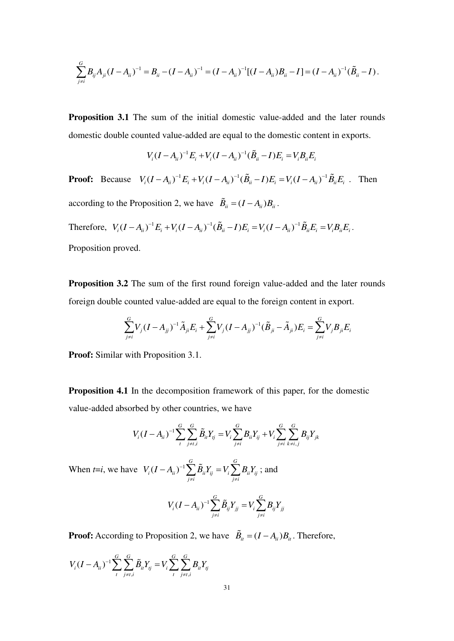$$
\sum_{j\neq i}^G B_{ij} A_{ji} (I - A_{ii})^{-1} = B_{ii} - (I - A_{ii})^{-1} = (I - A_{ii})^{-1} [(I - A_{ii}) B_{ii} - I] = (I - A_{ii})^{-1} (\tilde{B}_{ii} - I).
$$

**Proposition 3.1** The sum of the initial domestic value-added and the later rounds domestic double counted value-added are equal to the domestic content in exports.

$$
V_i (I - A_{ii})^{-1} E_i + V_i (I - A_{ii})^{-1} (\tilde{B}_{ii} - I) E_i = V_i B_{ii} E_i
$$

**Proof:** Because  $V_i (I - A_{ii})^{-1} E_i + V_i (I - A_{ii})^{-1} (\tilde{B}_{ii} - I) E_i = V_i (I - A_{ii})^{-1} \tilde{B}_{ii} E_i$ . Then according to the Proposition 2, we have  $\tilde{B}_{ii} = (I - A_{ii})B_{ii}$ . Therefore,  $V_i (I - A_{ii})^{-1} E_i + V_i (I - A_{ii})^{-1} (\tilde{B}_{ii} - I) E_i = V_i (I - A_{ii})^{-1} \tilde{B}_{ii} E_i = V_i B_{ii} E_i$ .

Proposition proved.

**Proposition 3.2** The sum of the first round foreign value-added and the later rounds foreign double counted value-added are equal to the foreign content in export.

$$
\sum_{j\neq i}^{G} V_j (I - A_{jj})^{-1} \tilde{A}_{ji} E_i + \sum_{j\neq i}^{G} V_j (I - A_{jj})^{-1} (\tilde{B}_{ji} - \tilde{A}_{ji}) E_i = \sum_{j\neq i}^{G} V_j B_{ji} E_i
$$

**Proof:** Similar with Proposition 3.1.

**Proposition 4.1** In the decomposition framework of this paper, for the domestic value-added absorbed by other countries, we have

$$
V_i (I - A_{ii})^{-1} \sum_{t}^{G} \sum_{j \neq i,i}^{G} \tilde{B}_{it} Y_{tj} = V_i \sum_{j \neq i}^{G} B_{it} Y_{tj} + V_i \sum_{j \neq i}^{G} \sum_{k \neq i,j}^{G} B_{ij} Y_{jk}
$$

When *t*=*i*, we have  $V_i (I - A_{ii})^{-1}$ *G G i ii ii ij i ii ij*  $j \neq i$   $j \neq i$  $V_i (I - A_{ii})^{-1} \sum \tilde{B}_{ii} Y_{ii} = V_i \sum B_{ii} Y$  $(-A_{ii})^{-1} \sum_{j \neq i} \tilde{B}_{ii} Y_{ij} = V_i \sum_{j \neq i} B_{ii} Y_{ij}$ ; and

$$
V_i (I - A_{ii})^{-1} \sum_{j \neq i}^{G} \tilde{B}_{ij} Y_{jj} = V_i \sum_{j \neq i}^{G} B_{ij} Y_{jj}
$$

**Proof:** According to Proposition 2, we have  $\tilde{B}_{it} = (I - A_{it})B_{it}$ . Therefore,

$$
V_i (I - A_{ii})^{-1} \sum_{t}^{G} \sum_{j \neq t, i}^{G} \tilde{B}_{it} Y_{tj} = V_i \sum_{t}^{G} \sum_{j \neq t, i}^{G} B_{it} Y_{tj}
$$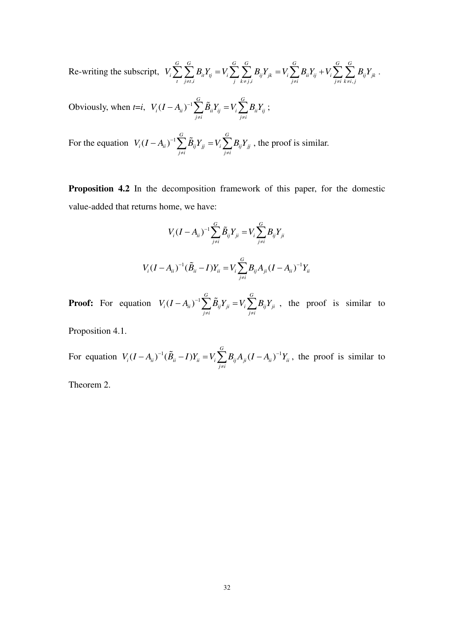Re-writing the subscript, ,*i*  $j \; k \neq j, i$   $j \neq i$   $j \neq i$   $k \neq i$ , *G G G G G G G*  $i \sum \sum_i \nu_{it} t_{ij} = \mathbf{v}_i \sum \sum_i \nu_{ij} t_{jk} = \mathbf{v}_i \sum \nu_{ii} t_{ij} + \mathbf{v}_i \sum \sum \nu_{ij} t_{jk}$ *t*  $j \neq i, i$   $j \neq j, i$   $j \neq i$   $j \neq i$   $k \neq i, j$  $V_i \sum_{i} B_{ii} Y_{ii} = V_i \sum_{i} B_{ii} Y_{ik} = V_i \sum_{i} B_{ii} Y_{ii} + V_i \sum_{i} B_{ii} Y_{ii}$  $\sum_{i}^{s}\sum_{j\neq i,i}^{s}B_{ii}Y_{ij}=V_i\sum_{j}\sum_{k\neq j,i}^{s}\overline{B}_{ij}Y_{jk}=V_i\sum_{j\neq i}^{s}\overline{B}_{ii}Y_{ij}+V_i\sum_{j\neq i}^{s}\sum_{k\neq i,j}^{s}\overline{B}_{ij}Y_{jk} \ .$ 

Obviously, when  $t=i$ ,  $V_i(I - A_{ii})^{-1}$ *G G*  $i^{i}$  *i*  $i^{j}$  *iii*  $i^{j}$  *ii*  $i^{j}$  *iii iii iii iii iii iii iii iii iii iii iii iii iii iii iii iii iii iii iii iii iii iii iii iii iii iii iii iii iiii ii*  $j \neq i$   $j \neq i$  $V_i (I - A_{ii})^{-1} \sum \tilde{B}_{ii} Y_{ii} = V_i \sum B_{ii} Y_i$  $(-A_{ii})^{-1}\sum_{j\neq i}^{\bullet}\widetilde{B}_{ii}Y_{ij}=V_i\sum_{j\neq i}^{\bullet}B_{ii}Y_{ij}\;;$ 

For the equation  $V_i (I - A_{ii})^{-1}$ *G G*  $i$ <sup>(1</sup> ii)  $\sum_i P_{ij}$ <sup>1</sup> jj  $\sum_i P_{ij}$ <sup>1</sup> jj  $j \neq i$   $j \neq i$  $V_i (I - A_{ii})^{-1} \sum \tilde{B}_{ii} Y_{ii} = V_i \sum B_{ii} Y$  $(-A_{ii})^{-1} \sum_{j \neq i} \tilde{B}_{ij} Y_{jj} = V_i \sum_{j \neq i} B_{ij} Y_{jj}$ , the proof is similar.

**Proposition 4.2** In the decomposition framework of this paper, for the domestic value-added that returns home, we have:

$$
V_i (I - A_{ii})^{-1} \sum_{j \neq i}^{G} \tilde{B}_{ij} Y_{ji} = V_i \sum_{j \neq i}^{G} B_{ij} Y_{ji}
$$
  

$$
V_i (I - A_{ii})^{-1} (\tilde{B}_{ii} - I) Y_{ii} = V_i \sum_{j \neq i}^{G} B_{ij} A_{ji} (I - A_{ii})^{-1} Y_{ii}
$$

**Proof:** For equation  $V_i (I - A_{ii})^{-1}$ *G G*  $i^{(1)}$  <sup>1</sup>ii)  $\sum \nu_{ij}$ <sup>1</sup> ji  $-v_i \sum \nu_{ij}$ <sup>1</sup> ji  $j \neq i$   $j \neq i$  $V_i (I - A_{ii})^{-1} \sum \tilde{B}_{ii} Y_{ii} = V_i \sum B_{ii} Y$  $(-A_{ii})^{-1} \sum_{j \neq i} \tilde{B}_{ij} Y_{ji} = V_i \sum_{j \neq i} B_{ij} Y_{ji}$ , the proof is similar to

Proposition 4.1.

For equation  $V_i (I - A_{ii})^{-1} (\tilde{B}_{ii} - I) Y_{ii} = V_i \sum_{i=1}^{G} B_{ii} A_{ii} (I - A_{ii})^{-1}$  $\mathbf{u}_i$   $\mathbf{u}_i$   $\mathbf{u}_j$   $\mathbf{v}_i$   $\mathbf{v}_j$   $\mathbf{u}_i$   $\mathbf{v}_i$   $\mathbf{v}_j$   $\mathbf{v}_j$   $\mathbf{v}_j$   $\mathbf{v}_j$   $\mathbf{v}_j$   $\mathbf{v}_i$   $\mathbf{v}_j$   $\mathbf{v}_j$ *j i*  $V_i (I - A_{ii})^{-1} (\tilde{B}_{ii} - I) Y_{ii} = V_i \sum B_{ii} A_{ii} (I - A_{ii})^{-1} Y_{ii}$  $(-A_{ii})^{-1}(\tilde{B}_{ii} - I)Y_{ii} = V_i \sum_{j \neq i} B_{ij}A_{ji}(I - A_{ii})^{-1}Y_{ii}$ , the proof is similar to

Theorem 2.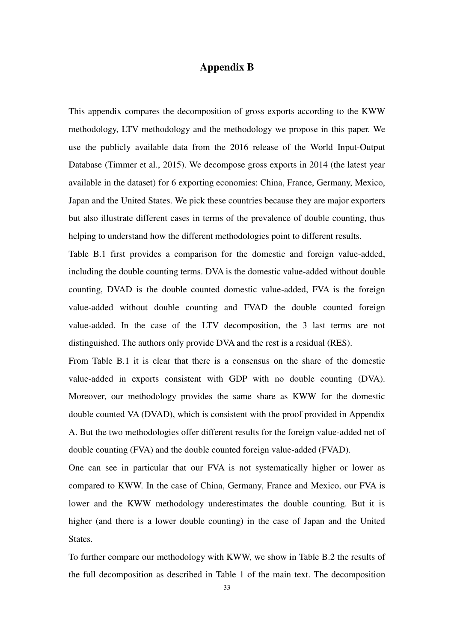### **Appendix B**

This appendix compares the decomposition of gross exports according to the KWW methodology, LTV methodology and the methodology we propose in this paper. We use the publicly available data from the 2016 release of the World Input-Output Database (Timmer et al., 2015). We decompose gross exports in 2014 (the latest year available in the dataset) for 6 exporting economies: China, France, Germany, Mexico, Japan and the United States. We pick these countries because they are major exporters but also illustrate different cases in terms of the prevalence of double counting, thus helping to understand how the different methodologies point to different results.

Table B.1 first provides a comparison for the domestic and foreign value-added, including the double counting terms. DVA is the domestic value-added without double counting, DVAD is the double counted domestic value-added, FVA is the foreign value-added without double counting and FVAD the double counted foreign value-added. In the case of the LTV decomposition, the 3 last terms are not distinguished. The authors only provide DVA and the rest is a residual (RES).

From Table B.1 it is clear that there is a consensus on the share of the domestic value-added in exports consistent with GDP with no double counting (DVA). Moreover, our methodology provides the same share as KWW for the domestic double counted VA (DVAD), which is consistent with the proof provided in Appendix A. But the two methodologies offer different results for the foreign value-added net of double counting (FVA) and the double counted foreign value-added (FVAD).

One can see in particular that our FVA is not systematically higher or lower as compared to KWW. In the case of China, Germany, France and Mexico, our FVA is lower and the KWW methodology underestimates the double counting. But it is higher (and there is a lower double counting) in the case of Japan and the United States.

To further compare our methodology with KWW, we show in Table B.2 the results of the full decomposition as described in Table 1 of the main text. The decomposition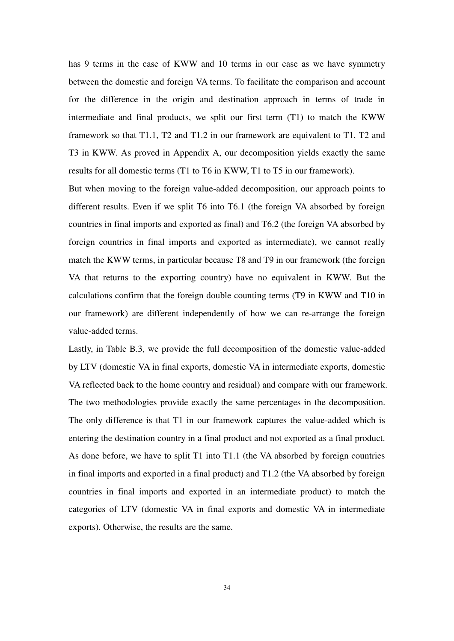has 9 terms in the case of KWW and 10 terms in our case as we have symmetry between the domestic and foreign VA terms. To facilitate the comparison and account for the difference in the origin and destination approach in terms of trade in intermediate and final products, we split our first term (T1) to match the KWW framework so that T1.1, T2 and T1.2 in our framework are equivalent to T1, T2 and T3 in KWW. As proved in Appendix A, our decomposition yields exactly the same results for all domestic terms (T1 to T6 in KWW, T1 to T5 in our framework).

But when moving to the foreign value-added decomposition, our approach points to different results. Even if we split T6 into T6.1 (the foreign VA absorbed by foreign countries in final imports and exported as final) and T6.2 (the foreign VA absorbed by foreign countries in final imports and exported as intermediate), we cannot really match the KWW terms, in particular because T8 and T9 in our framework (the foreign VA that returns to the exporting country) have no equivalent in KWW. But the calculations confirm that the foreign double counting terms (T9 in KWW and T10 in our framework) are different independently of how we can re-arrange the foreign value-added terms.

Lastly, in Table B.3, we provide the full decomposition of the domestic value-added by LTV (domestic VA in final exports, domestic VA in intermediate exports, domestic VA reflected back to the home country and residual) and compare with our framework. The two methodologies provide exactly the same percentages in the decomposition. The only difference is that T1 in our framework captures the value-added which is entering the destination country in a final product and not exported as a final product. As done before, we have to split T1 into T1.1 (the VA absorbed by foreign countries in final imports and exported in a final product) and T1.2 (the VA absorbed by foreign countries in final imports and exported in an intermediate product) to match the categories of LTV (domestic VA in final exports and domestic VA in intermediate exports). Otherwise, the results are the same.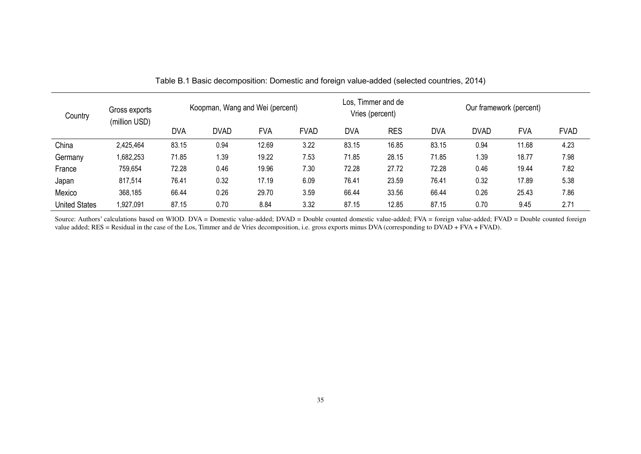| Country              | Gross exports<br>(million USD) |            | Koopman, Wang and Wei (percent) |            |             |                                             | Los, Timmer and de |       | Our framework (percent)                                |       |      |  |
|----------------------|--------------------------------|------------|---------------------------------|------------|-------------|---------------------------------------------|--------------------|-------|--------------------------------------------------------|-------|------|--|
|                      |                                | <b>DVA</b> | <b>DVAD</b>                     | <b>FVA</b> | <b>FVAD</b> | Vries (percent)<br><b>DVA</b><br><b>RES</b> |                    |       | <b>FVA</b><br><b>DVA</b><br><b>FVAD</b><br><b>DVAD</b> |       |      |  |
|                      |                                |            |                                 |            |             |                                             |                    |       |                                                        |       |      |  |
| China                | 2,425,464                      | 83.15      | 0.94                            | 12.69      | 3.22        | 83.15                                       | 16.85              | 83.15 | 0.94                                                   | 11.68 | 4.23 |  |
| Germany              | 1,682,253                      | 71.85      | 1.39                            | 19.22      | 7.53        | 71.85                                       | 28.15              | 71.85 | 1.39                                                   | 18.77 | 7.98 |  |
| France               | 759,654                        | 72.28      | 0.46                            | 19.96      | 7.30        | 72.28                                       | 27.72              | 72.28 | 0.46                                                   | 19.44 | 7.82 |  |
| Japan                | 817,514                        | 76.41      | 0.32                            | 17.19      | 6.09        | 76.41                                       | 23.59              | 76.41 | 0.32                                                   | 17.89 | 5.38 |  |
| Mexico               | 368,185                        | 66.44      | 0.26                            | 29.70      | 3.59        | 66.44                                       | 33.56              | 66.44 | 0.26                                                   | 25.43 | 7.86 |  |
| <b>United States</b> | 1,927,091                      | 87.15      | 0.70                            | 8.84       | 3.32        | 87.15                                       | 12.85              | 87.15 | 0.70                                                   | 9.45  | 2.71 |  |

Table B.1 Basic decomposition: Domestic and foreign value-added (selected countries, 2014)

Source: Authors' calculations based on WIOD. DVA = Domestic value-added; DVAD = Double counted domestic value-added; FVA = foreign value-added; FVAD = Double counted foreign value added; RES = Residual in the case of the Los, Timmer and de Vries decomposition, i.e. gross exports minus DVA (corresponding to DVAD + FVA + FVAD).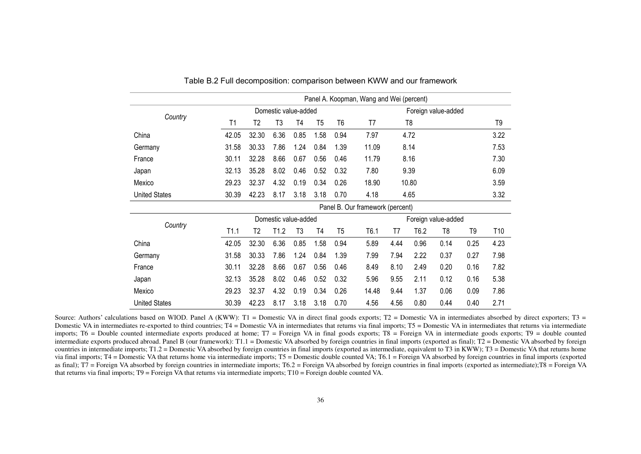|                      | Panel A. Koopman, Wang and Wei (percent) |       |                     |      |      |      |                                  |       |                  |                |      |      |  |
|----------------------|------------------------------------------|-------|---------------------|------|------|------|----------------------------------|-------|------------------|----------------|------|------|--|
|                      |                                          |       | Foreign value-added |      |      |      |                                  |       |                  |                |      |      |  |
| Country              | T1                                       | T2    | T3                  | T4   | T5   | T6   | T7                               |       | T8               |                |      | T9   |  |
| China                | 42.05                                    | 32.30 | 6.36                | 0.85 | 1.58 | 0.94 | 7.97                             |       | 4.72             |                |      | 3.22 |  |
| Germany              | 31.58                                    | 30.33 | 7.86                | 1.24 | 0.84 | 1.39 | 11.09                            | 8.14  |                  |                | 7.53 |      |  |
| France               | 30.11                                    | 32.28 | 8.66                | 0.67 | 0.56 | 0.46 | 11.79                            | 8.16  |                  |                |      | 7.30 |  |
| Japan                | 32.13                                    | 35.28 | 8.02                | 0.46 | 0.52 | 0.32 | 7.80                             | 9.39  |                  |                |      | 6.09 |  |
| Mexico               | 29.23                                    | 32.37 | 4.32                | 0.19 | 0.34 | 0.26 | 18.90                            | 10.80 |                  |                |      | 3.59 |  |
| <b>United States</b> | 30.39                                    | 42.23 | 8.17                | 3.18 | 3.18 | 0.70 | 4.18                             | 4.65  |                  |                |      | 3.32 |  |
|                      |                                          |       |                     |      |      |      | Panel B. Our framework (percent) |       |                  |                |      |      |  |
|                      | Domestic value-added                     |       |                     |      |      |      | Foreign value-added              |       |                  |                |      |      |  |
| Country              | T1.1                                     | T2    | T1.2                | T3   | T4   | T5   | T <sub>6.1</sub>                 | T7    | T <sub>6.2</sub> | T <sub>8</sub> | T9   | T10  |  |
| China                | 42.05                                    | 32.30 | 6.36                | 0.85 | 1.58 | 0.94 | 5.89                             | 4.44  | 0.96             | 0.14           | 0.25 | 4.23 |  |
| Germany              | 31.58                                    | 30.33 | 7.86                | 1.24 | 0.84 | 1.39 | 7.99                             | 7.94  | 2.22             | 0.37           | 0.27 | 7.98 |  |
| France               | 30.11                                    | 32.28 | 8.66                | 0.67 | 0.56 | 0.46 | 8.49                             | 8.10  | 2.49             | 0.20           | 0.16 | 7.82 |  |
| Japan                | 32.13                                    | 35.28 | 8.02                | 0.46 | 0.52 | 0.32 | 5.96                             | 9.55  | 2.11             | 0.12           | 0.16 | 5.38 |  |
| Mexico               | 29.23                                    | 32.37 | 4.32                | 0.19 | 0.34 | 0.26 | 14.48                            | 9.44  | 1.37             | 0.06           | 0.09 | 7.86 |  |
| <b>United States</b> | 30.39                                    | 42.23 | 8.17                | 3.18 | 3.18 | 0.70 | 4.56                             | 4.56  | 0.80             | 0.44           | 0.40 | 2.71 |  |

Table B.2 Full decomposition: comparison between KWW and our framework

Source: Authors' calculations based on WIOD. Panel A (KWW): T1 = Domestic VA in direct final goods exports; T2 = Domestic VA in intermediates absorbed by direct exporters; T3 = Domestic VA in intermediates re-exported to third countries; T4 = Domestic VA in intermediates that returns via intermediates that returns via intermediates that returns via intermediate imports; T6 = Double counted intermediate exports produced at home; T7 = Foreign VA in final goods exports; T8 = Foreign VA in intermediate goods exports; T9 = double counted intermediate exports produced abroad. Panel B (our framework): T1.1 = Domestic VA absorbed by foreign countries in final imports (exported as final); T2 = Domestic VA absorbed by foreign countries in intermediate imports; T1.2 = Domestic VA absorbed by foreign countries in final imports (exported as intermediate, equivalent to T3 in KWW); T3 = Domestic VA that returns home via final imports; T4 = Domestic VA that returns home via intermediate imports; T5 = Domestic double counted VA; T6.1 = Foreign VA absorbed by foreign countries in final imports (exported as final);  $T7$  = Foreign VA absorbed by foreign countries in intermediate imports;  $T6.2$  = Foreign VA absorbed by foreign countries in final imports (exported as intermediate); $T8$  = Foreign VA that returns via final imports; T9 = Foreign VA that returns via intermediate imports; T10 = Foreign double counted VA.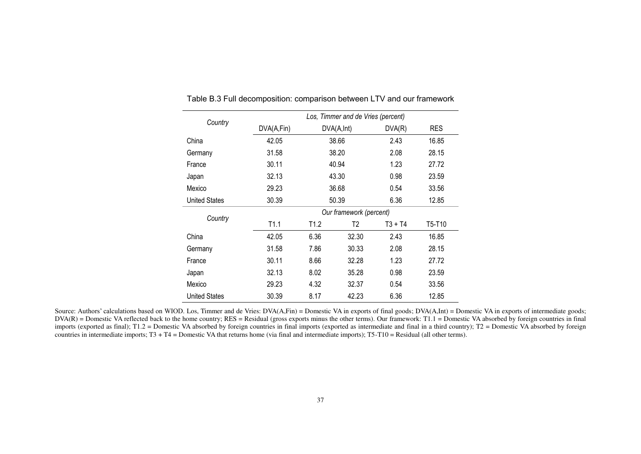|                      | Los, Timmer and de Vries (percent) |                  |             |           |            |  |  |  |  |  |
|----------------------|------------------------------------|------------------|-------------|-----------|------------|--|--|--|--|--|
| Country              | DVA(A,Fin)                         |                  | DVA(A, Int) | DVA(R)    | <b>RES</b> |  |  |  |  |  |
| China                | 42.05                              |                  | 38.66       | 2.43      | 16.85      |  |  |  |  |  |
| Germany              | 31.58                              |                  | 38.20       | 2.08      | 28.15      |  |  |  |  |  |
| France               | 30.11                              |                  | 40.94       | 1.23      | 27.72      |  |  |  |  |  |
| Japan                | 32.13                              |                  | 43.30       | 0.98      | 23.59      |  |  |  |  |  |
| Mexico               | 29.23                              |                  | 36.68       | 0.54      | 33.56      |  |  |  |  |  |
| <b>United States</b> | 30.39                              |                  | 50.39       | 6.36      | 12.85      |  |  |  |  |  |
|                      | Our framework (percent)            |                  |             |           |            |  |  |  |  |  |
| Country              | T1.1                               | T <sub>1.2</sub> | T2          | $T3 + T4$ | T5-T10     |  |  |  |  |  |
| China                | 42.05                              | 6.36             | 32.30       | 2.43      | 16.85      |  |  |  |  |  |
| Germany              | 31.58                              | 7.86             | 30.33       | 2.08      | 28.15      |  |  |  |  |  |
| France               | 30.11                              | 8.66             | 32.28       | 1.23      | 27.72      |  |  |  |  |  |
| Japan                | 32.13                              | 8.02             | 35.28       | 0.98      | 23.59      |  |  |  |  |  |
| Mexico               | 29.23                              | 4.32             | 32.37       | 0.54      | 33.56      |  |  |  |  |  |
| <b>United States</b> | 30.39                              | 8.17             | 42.23       | 6.36      | 12.85      |  |  |  |  |  |

Table B.3 Full decomposition: comparison between LTV and our framework

Source: Authors' calculations based on WIOD. Los, Timmer and de Vries: DVA(A,Fin) = Domestic VA in exports of final goods; DVA(A,Int) = Domestic VA in exports of intermediate goods;  $DVA(R) =$  Domestic VA reflected back to the home country;  $RES =$  Residual (gross exports minus the other terms). Our framework: T1.1 = Domestic VA absorbed by foreign countries in final imports (exported as final); T1.2 = Domestic VA absorbed by foreign countries in final imports (exported as intermediate and final in a third country); T2 = Domestic VA absorbed by foreign countries in intermediate imports; T3 + T4 = Domestic VA that returns home (via final and intermediate imports); T5-T10 = Residual (all other terms).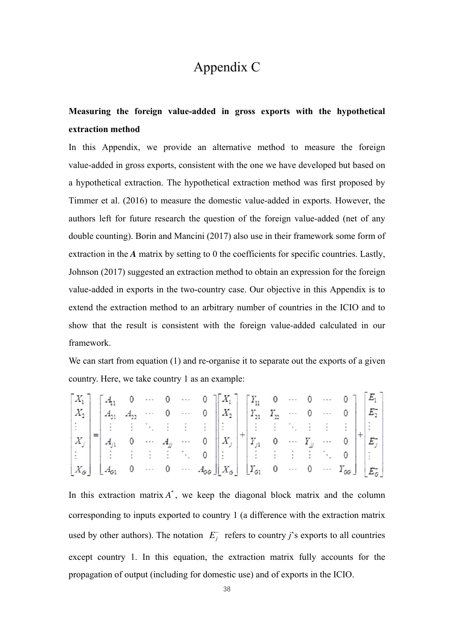## Appendix C

### **Measuring the foreign value-added in gross exports with the hypothetical extraction method**

In this Appendix, we provide an alternative method to measure the foreign value-added in gross exports, consistent with the one we have developed but based on a hypothetical extraction. The hypothetical extraction method was first proposed by Timmer et al. (2016) to measure the domestic value-added in exports. However, the authors left for future research the question of the foreign value-added (net of any double counting). Borin and Mancini (2017) also use in their framework some form of extraction in the *A* matrix by setting to 0 the coefficients for specific countries. Lastly, Johnson (2017) suggested an extraction method to obtain an expression for the foreign value-added in exports in the two-country case. Our objective in this Appendix is to extend the extraction method to an arbitrary number of countries in the ICIO and to show that the result is consistent with the foreign value-added calculated in our framework.

We can start from equation (1) and re-organise it to separate out the exports of a given country. Here, we take country 1 as an example:

|  |  |  |  | $\begin{bmatrix} X_1 \\ Y_1 \end{bmatrix}$ $\begin{bmatrix} A_{11} & 0 & \cdots & 0 & \cdots & 0 \end{bmatrix}$ $\begin{bmatrix} X_1 \\ Y_1 \end{bmatrix}$ $\begin{bmatrix} Y_{11} & 0 & \cdots & 0 & \cdots & 0 \end{bmatrix}$ $\begin{bmatrix} E_1 \\ P_1 \end{bmatrix}$                                                                                                                                                                       |  |  |  |  |
|--|--|--|--|--------------------------------------------------------------------------------------------------------------------------------------------------------------------------------------------------------------------------------------------------------------------------------------------------------------------------------------------------------------------------------------------------------------------------------------------------|--|--|--|--|
|  |  |  |  |                                                                                                                                                                                                                                                                                                                                                                                                                                                  |  |  |  |  |
|  |  |  |  | $\begin{vmatrix} \vdots \\ x_j \end{vmatrix} = \begin{vmatrix} \vdots & \vdots & \ddots & \vdots & \vdots \\ A_{j1} & 0 & \cdots & A_{jj} & \cdots & 0 \end{vmatrix} \begin{vmatrix} \vdots & \vdots & \vdots & \ddots & \vdots & \vdots & \vdots \\ X_j & \cdot & 0 & \cdots & Y_{jj} & \cdots & 0 \end{vmatrix} + \begin{vmatrix} \vdots & \vdots & \ddots & \vdots & \vdots & \vdots \\ E_j & 0 & \cdots & E_{jj} & \cdots & 0 \end{vmatrix}$ |  |  |  |  |
|  |  |  |  |                                                                                                                                                                                                                                                                                                                                                                                                                                                  |  |  |  |  |
|  |  |  |  |                                                                                                                                                                                                                                                                                                                                                                                                                                                  |  |  |  |  |
|  |  |  |  | $X_{\sigma}$ $A_{\sigma 1}$ 0 $\cdots$ 0 $A_{\sigma\sigma}$ $X_{\sigma}$ $Y_{\sigma 1}$ 0 $\cdots$ 0 $X_{\sigma\sigma}$ $E_{\sigma}$                                                                                                                                                                                                                                                                                                             |  |  |  |  |

In this extraction matrix  $A^*$ , we keep the diagonal block matrix and the column corresponding to inputs exported to country 1 (a difference with the extraction matrix used by other authors). The notation  $E_j^-$  refers to country *j*'s exports to all countries except country 1. In this equation, the extraction matrix fully accounts for the propagation of output (including for domestic use) and of exports in the ICIO.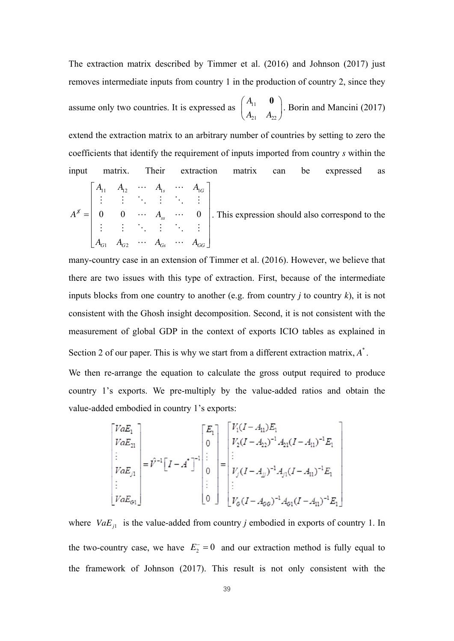The extraction matrix described by Timmer et al. (2016) and Johnson (2017) just removes intermediate inputs from country 1 in the production of country 2, since they assume only two countries. It is expressed as  $\begin{bmatrix} 11 \\ 11 \end{bmatrix}$  $21 \t 122$ *A*  $\begin{pmatrix} A_{11} & \mathbf{0} \ A_{21} & A_{22} \end{pmatrix}$ . Borin and Mancini (2017) extend the extraction matrix to an arbitrary number of countries by setting to zero the coefficients that identify the requirement of inputs imported from country *s* within the input matrix. Their extraction matrix can be expressed as  $\mathbf{1}_1$   $\mathbf{1}_2$   $\mathbf{1}_3$   $\mathbf{1}_1$  $1 \tT_{G2}$  $0 \quad 0 \quad \cdots \quad A_{ss} \quad \cdots \quad 0$  $s$   $A_{1G}$ *S ss*  $G1 \tT^1G2 \tT^1Gs \tT^1GG$  $A_{11}$   $A_{12}$   $\cdots$   $A_{1s}$   $\cdots$  *A*  $A^{\scriptscriptstyle\mathcal{S}}=\begin{bmatrix} 0 & 0 & \cdots & A \end{bmatrix}$  $A_{G1}$   $A_{G2}$   $\cdots$   $A_{G5}$   $\cdots$   $A_{G8}$  $A_{11} \quad A_{12} \quad \cdots \quad A_{1s} \quad \cdots \quad A_{1G}$  $\begin{bmatrix} 1 & \cdots & 1 \\ 1 & \cdots & 1 \end{bmatrix}$  ,  $\begin{bmatrix} 1 & \cdots & 1 \\ 1 & \cdots & 1 \end{bmatrix}$  ,  $\begin{bmatrix} 1 & \cdots & 1 \\ 1 & \cdots & 1 \end{bmatrix}$  $=$  $\begin{bmatrix} A_{G1} & A_{G2} & \cdots & A_{Gs} & \cdots & A_{GG} \end{bmatrix}$  $\cdots$   $A_{1s}$   $\cdots$ i di Kalendari  $\cdots$   $A_{ss}$   $\cdots$ i di Kalendari  $\cdots$   $A_{G_s}$   $\cdots$ . This expression should also correspond to the

many-country case in an extension of Timmer et al. (2016). However, we believe that there are two issues with this type of extraction. First, because of the intermediate inputs blocks from one country to another (e.g. from country  $j$  to country  $k$ ), it is not consistent with the Ghosh insight decomposition. Second, it is not consistent with the measurement of global GDP in the context of exports ICIO tables as explained in Section 2 of our paper. This is why we start from a different extraction matrix,  $A^*$ .

We then re-arrange the equation to calculate the gross output required to produce country 1's exports. We pre-multiply by the value-added ratios and obtain the value-added embodied in country 1's exports:

$$
\begin{bmatrix}\nVaE_1 \\
VaE_{21} \\
\vdots \\
VaE_{j1} \\
\vdots \\
VaE_{G1}\n\end{bmatrix} = \hat{V}^{-1} \begin{bmatrix}\nI - A^* \\
I\n\end{bmatrix}^{-1} \begin{bmatrix}\nE_1 \\
0 \\
\vdots \\
0 \\
\vdots \\
0\n\end{bmatrix} = \begin{bmatrix}\nV_1(I - A_{11})E_1 \\
V_2(I - A_{22})^{-1}A_{21}(I - A_{11})^{-1}E_1 \\
\vdots \\
V_j(I - A_{jj})^{-1}A_{j1}(I - A_{11})^{-1}E_1 \\
\vdots \\
V_G(I - A_{GG})^{-1}A_{G1}(I - A_{11})^{-1}E_1\n\end{bmatrix}
$$

where  $VaE_{j1}$  is the value-added from country *j* embodied in exports of country 1. In the two-country case, we have  $E_2^- = 0$  and our extraction method is fully equal to the framework of Johnson (2017). This result is not only consistent with the